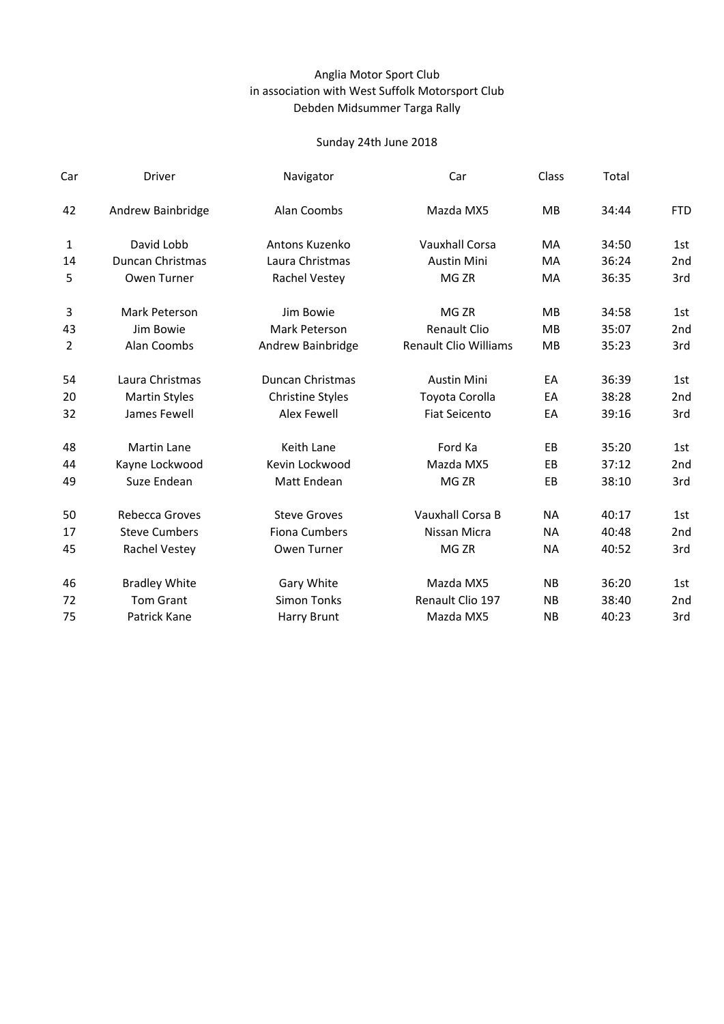## Anglia Motor Sport Club Debden Midsummer Targa Rally in association with West Suffolk Motorsport Club

| Driver                  | Navigator               | Car                          | Class     | Total |            |
|-------------------------|-------------------------|------------------------------|-----------|-------|------------|
| Andrew Bainbridge       | Alan Coombs             | Mazda MX5                    | <b>MB</b> | 34:44 | <b>FTD</b> |
| David Lobb              | Antons Kuzenko          | <b>Vauxhall Corsa</b>        | MA        | 34:50 | 1st        |
| <b>Duncan Christmas</b> | Laura Christmas         | <b>Austin Mini</b>           | MA        | 36:24 | 2nd        |
| Owen Turner             | Rachel Vestey           | MG <sub>ZR</sub>             | MA        | 36:35 | 3rd        |
| Mark Peterson           | Jim Bowie               | MG <sub>ZR</sub>             | <b>MB</b> | 34:58 | 1st        |
| Jim Bowie               | Mark Peterson           | <b>Renault Clio</b>          | <b>MB</b> | 35:07 | 2nd        |
| Alan Coombs             | Andrew Bainbridge       | <b>Renault Clio Williams</b> | <b>MB</b> | 35:23 | 3rd        |
| Laura Christmas         | <b>Duncan Christmas</b> | <b>Austin Mini</b>           | EA        | 36:39 | 1st        |
| <b>Martin Styles</b>    | <b>Christine Styles</b> | Toyota Corolla               | EA        | 38:28 | 2nd        |
| James Fewell            | <b>Alex Fewell</b>      | <b>Fiat Seicento</b>         | EA        | 39:16 | 3rd        |
| <b>Martin Lane</b>      | Keith Lane              | Ford Ka                      | EB        | 35:20 | 1st        |
| Kayne Lockwood          | Kevin Lockwood          | Mazda MX5                    | EB        | 37:12 | 2nd        |
| Suze Endean             | Matt Endean             | MG <sub>ZR</sub>             | EB        | 38:10 | 3rd        |
| <b>Rebecca Groves</b>   | <b>Steve Groves</b>     | Vauxhall Corsa B             | <b>NA</b> | 40:17 | 1st        |
| <b>Steve Cumbers</b>    | <b>Fiona Cumbers</b>    | Nissan Micra                 | <b>NA</b> | 40:48 | 2nd        |
| Rachel Vestey           | Owen Turner             | MG <sub>ZR</sub>             | <b>NA</b> | 40:52 | 3rd        |
| <b>Bradley White</b>    | Gary White              | Mazda MX5                    | <b>NB</b> | 36:20 | 1st        |
| <b>Tom Grant</b>        | <b>Simon Tonks</b>      | Renault Clio 197             | <b>NB</b> | 38:40 | 2nd        |
| Patrick Kane            | <b>Harry Brunt</b>      | Mazda MX5                    | <b>NB</b> | 40:23 | 3rd        |
|                         |                         |                              |           |       |            |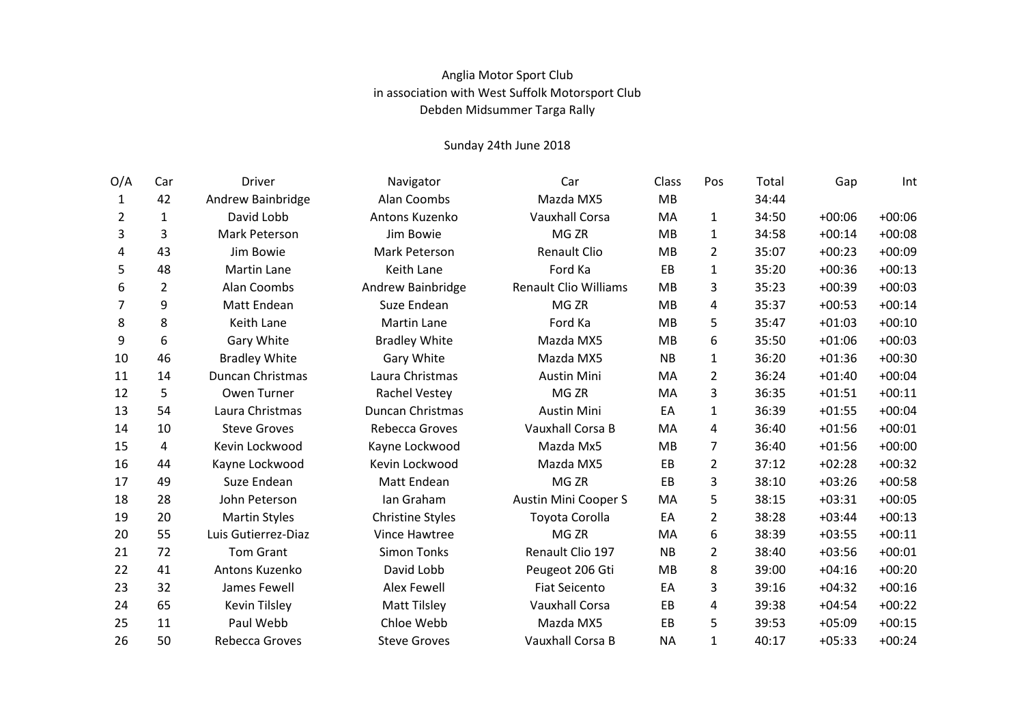## Anglia Motor Sport Club in association with West Suffolk Motorsport Club Debden Midsummer Targa Rally

| O/A | Car            | <b>Driver</b>        | Navigator               | Car                          | Class     | Pos            | Total | Gap      | Int      |
|-----|----------------|----------------------|-------------------------|------------------------------|-----------|----------------|-------|----------|----------|
| 1   | 42             | Andrew Bainbridge    | Alan Coombs             | Mazda MX5                    | <b>MB</b> |                | 34:44 |          |          |
| 2   | 1              | David Lobb           | Antons Kuzenko          | <b>Vauxhall Corsa</b>        | MA        | $\mathbf{1}$   | 34:50 | $+00:06$ | $+00:06$ |
| 3   | 3              | Mark Peterson        | Jim Bowie               | MG <sub>ZR</sub>             | <b>MB</b> | $\mathbf{1}$   | 34:58 | $+00:14$ | $+00:08$ |
| 4   | 43             | Jim Bowie            | Mark Peterson           | <b>Renault Clio</b>          | <b>MB</b> | 2              | 35:07 | $+00:23$ | $+00:09$ |
| 5   | 48             | <b>Martin Lane</b>   | Keith Lane              | Ford Ka                      | EB        | $\mathbf{1}$   | 35:20 | $+00:36$ | $+00:13$ |
| 6   | $\overline{2}$ | Alan Coombs          | Andrew Bainbridge       | <b>Renault Clio Williams</b> | MB        | 3              | 35:23 | $+00:39$ | $+00:03$ |
| 7   | 9              | Matt Endean          | Suze Endean             | MG <sub>ZR</sub>             | MB        | 4              | 35:37 | $+00:53$ | $+00:14$ |
| 8   | 8              | Keith Lane           | <b>Martin Lane</b>      | Ford Ka                      | <b>MB</b> | 5              | 35:47 | $+01:03$ | $+00:10$ |
| 9   | 6              | Gary White           | <b>Bradley White</b>    | Mazda MX5                    | <b>MB</b> | 6              | 35:50 | $+01:06$ | $+00:03$ |
| 10  | 46             | <b>Bradley White</b> | Gary White              | Mazda MX5                    | <b>NB</b> | 1              | 36:20 | $+01:36$ | $+00:30$ |
| 11  | 14             | Duncan Christmas     | Laura Christmas         | <b>Austin Mini</b>           | MA        | $\overline{2}$ | 36:24 | $+01:40$ | $+00:04$ |
| 12  | 5              | Owen Turner          | Rachel Vestey           | MG <sub>ZR</sub>             | MA        | 3              | 36:35 | $+01:51$ | $+00:11$ |
| 13  | 54             | Laura Christmas      | Duncan Christmas        | <b>Austin Mini</b>           | EA        | 1              | 36:39 | $+01:55$ | $+00:04$ |
| 14  | 10             | <b>Steve Groves</b>  | Rebecca Groves          | Vauxhall Corsa B             | MA        | 4              | 36:40 | $+01:56$ | $+00:01$ |
| 15  | 4              | Kevin Lockwood       | Kayne Lockwood          | Mazda Mx5                    | MB        | $\overline{7}$ | 36:40 | $+01:56$ | $+00:00$ |
| 16  | 44             | Kayne Lockwood       | Kevin Lockwood          | Mazda MX5                    | EB        | $\overline{2}$ | 37:12 | $+02:28$ | $+00:32$ |
| 17  | 49             | Suze Endean          | Matt Endean             | MG <sub>ZR</sub>             | EB        | 3              | 38:10 | $+03:26$ | $+00:58$ |
| 18  | 28             | John Peterson        | Ian Graham              | <b>Austin Mini Cooper S</b>  | MA        | 5              | 38:15 | $+03:31$ | $+00:05$ |
| 19  | 20             | <b>Martin Styles</b> | <b>Christine Styles</b> | Toyota Corolla               | EA        | $\overline{2}$ | 38:28 | $+03:44$ | $+00:13$ |
| 20  | 55             | Luis Gutierrez-Diaz  | Vince Hawtree           | MG <sub>ZR</sub>             | MA        | 6              | 38:39 | $+03:55$ | $+00:11$ |
| 21  | 72             | <b>Tom Grant</b>     | <b>Simon Tonks</b>      | Renault Clio 197             | NB        | $\overline{2}$ | 38:40 | $+03:56$ | $+00:01$ |
| 22  | 41             | Antons Kuzenko       | David Lobb              | Peugeot 206 Gti              | <b>MB</b> | 8              | 39:00 | $+04:16$ | $+00:20$ |
| 23  | 32             | James Fewell         | <b>Alex Fewell</b>      | <b>Fiat Seicento</b>         | EA        | 3              | 39:16 | $+04:32$ | $+00:16$ |
| 24  | 65             | <b>Kevin Tilsley</b> | <b>Matt Tilsley</b>     | <b>Vauxhall Corsa</b>        | EB        | 4              | 39:38 | $+04:54$ | $+00:22$ |
| 25  | 11             | Paul Webb            | Chloe Webb              | Mazda MX5                    | EB        | 5              | 39:53 | $+05:09$ | $+00:15$ |
| 26  | 50             | Rebecca Groves       | <b>Steve Groves</b>     | Vauxhall Corsa B             | <b>NA</b> | $\mathbf{1}$   | 40:17 | $+05:33$ | $+00:24$ |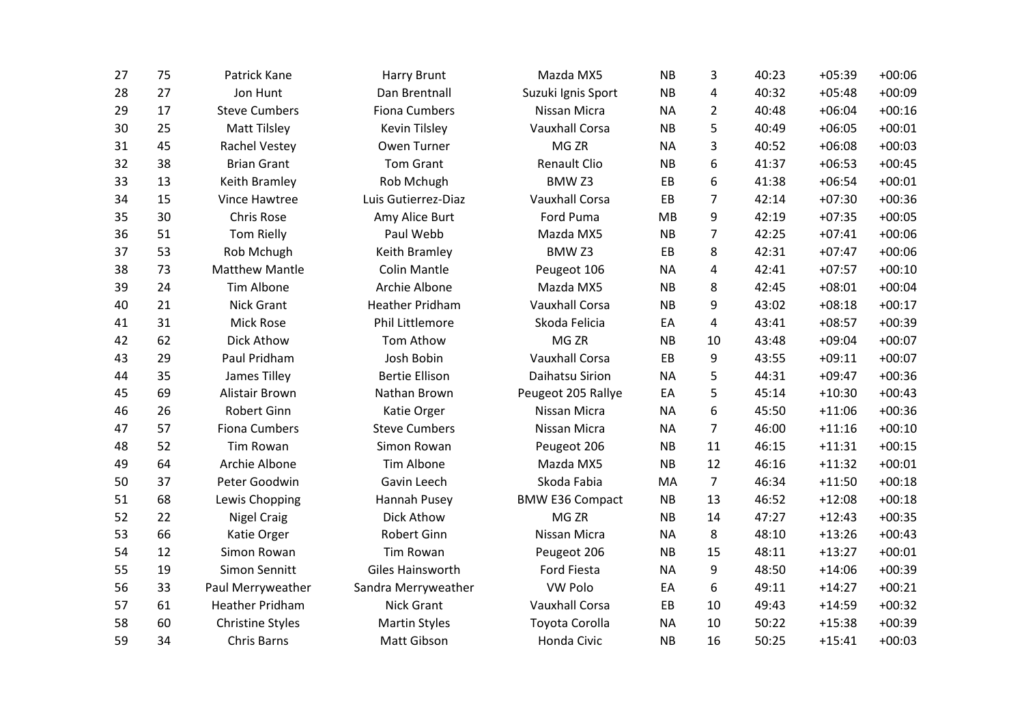| 27 | 75 | Patrick Kane            | <b>Harry Brunt</b>     | Mazda MX5              | <b>NB</b> | 3              | 40:23 | $+05:39$ | $+00:06$ |
|----|----|-------------------------|------------------------|------------------------|-----------|----------------|-------|----------|----------|
| 28 | 27 | Jon Hunt                | Dan Brentnall          | Suzuki Ignis Sport     | <b>NB</b> | 4              | 40:32 | $+05:48$ | $+00:09$ |
| 29 | 17 | <b>Steve Cumbers</b>    | <b>Fiona Cumbers</b>   | Nissan Micra           | <b>NA</b> | $\overline{2}$ | 40:48 | $+06:04$ | $+00:16$ |
| 30 | 25 | <b>Matt Tilsley</b>     | Kevin Tilsley          | <b>Vauxhall Corsa</b>  | <b>NB</b> | 5              | 40:49 | $+06:05$ | $+00:01$ |
| 31 | 45 | Rachel Vestey           | Owen Turner            | MG <sub>ZR</sub>       | <b>NA</b> | 3              | 40:52 | $+06:08$ | $+00:03$ |
| 32 | 38 | <b>Brian Grant</b>      | <b>Tom Grant</b>       | Renault Clio           | <b>NB</b> | 6              | 41:37 | $+06:53$ | $+00:45$ |
| 33 | 13 | Keith Bramley           | Rob Mchugh             | BMW <sub>Z3</sub>      | EB        | 6              | 41:38 | $+06:54$ | $+00:01$ |
| 34 | 15 | Vince Hawtree           | Luis Gutierrez-Diaz    | <b>Vauxhall Corsa</b>  | EB        | $\overline{7}$ | 42:14 | $+07:30$ | $+00:36$ |
| 35 | 30 | <b>Chris Rose</b>       | Amy Alice Burt         | Ford Puma              | MB        | 9              | 42:19 | $+07:35$ | $+00:05$ |
| 36 | 51 | <b>Tom Rielly</b>       | Paul Webb              | Mazda MX5              | <b>NB</b> | 7              | 42:25 | $+07:41$ | $+00:06$ |
| 37 | 53 | Rob Mchugh              | Keith Bramley          | BMW <sub>Z3</sub>      | EB        | 8              | 42:31 | $+07:47$ | $+00:06$ |
| 38 | 73 | <b>Matthew Mantle</b>   | <b>Colin Mantle</b>    | Peugeot 106            | <b>NA</b> | 4              | 42:41 | $+07:57$ | $+00:10$ |
| 39 | 24 | <b>Tim Albone</b>       | Archie Albone          | Mazda MX5              | <b>NB</b> | 8              | 42:45 | $+08:01$ | $+00:04$ |
| 40 | 21 | Nick Grant              | <b>Heather Pridham</b> | <b>Vauxhall Corsa</b>  | <b>NB</b> | 9              | 43:02 | $+08:18$ | $+00:17$ |
| 41 | 31 | <b>Mick Rose</b>        | Phil Littlemore        | Skoda Felicia          | EA        | 4              | 43:41 | $+08:57$ | $+00:39$ |
| 42 | 62 | Dick Athow              | Tom Athow              | MG <sub>ZR</sub>       | <b>NB</b> | 10             | 43:48 | $+09:04$ | $+00:07$ |
| 43 | 29 | Paul Pridham            | Josh Bobin             | <b>Vauxhall Corsa</b>  | EB        | 9              | 43:55 | $+09:11$ | $+00:07$ |
| 44 | 35 | James Tilley            | <b>Bertie Ellison</b>  | Daihatsu Sirion        | <b>NA</b> | 5              | 44:31 | $+09:47$ | $+00:36$ |
| 45 | 69 | Alistair Brown          | Nathan Brown           | Peugeot 205 Rallye     | EA        | 5              | 45:14 | $+10:30$ | $+00:43$ |
| 46 | 26 | Robert Ginn             | Katie Orger            | Nissan Micra           | <b>NA</b> | 6              | 45:50 | $+11:06$ | $+00:36$ |
| 47 | 57 | Fiona Cumbers           | <b>Steve Cumbers</b>   | Nissan Micra           | <b>NA</b> | 7              | 46:00 | $+11:16$ | $+00:10$ |
| 48 | 52 | <b>Tim Rowan</b>        | Simon Rowan            | Peugeot 206            | <b>NB</b> | 11             | 46:15 | $+11:31$ | $+00:15$ |
| 49 | 64 | Archie Albone           | Tim Albone             | Mazda MX5              | <b>NB</b> | 12             | 46:16 | $+11:32$ | $+00:01$ |
| 50 | 37 | Peter Goodwin           | Gavin Leech            | Skoda Fabia            | MA        | 7              | 46:34 | $+11:50$ | $+00:18$ |
| 51 | 68 | Lewis Chopping          | Hannah Pusey           | <b>BMW E36 Compact</b> | <b>NB</b> | 13             | 46:52 | $+12:08$ | $+00:18$ |
| 52 | 22 | <b>Nigel Craig</b>      | Dick Athow             | MG <sub>ZR</sub>       | <b>NB</b> | 14             | 47:27 | $+12:43$ | $+00:35$ |
| 53 | 66 | Katie Orger             | Robert Ginn            | Nissan Micra           | <b>NA</b> | 8              | 48:10 | $+13:26$ | $+00:43$ |
| 54 | 12 | Simon Rowan             | Tim Rowan              | Peugeot 206            | <b>NB</b> | 15             | 48:11 | $+13:27$ | $+00:01$ |
| 55 | 19 | Simon Sennitt           | Giles Hainsworth       | Ford Fiesta            | <b>NA</b> | 9              | 48:50 | $+14:06$ | $+00:39$ |
| 56 | 33 | Paul Merryweather       | Sandra Merryweather    | VW Polo                | EA        | 6              | 49:11 | $+14:27$ | $+00:21$ |
| 57 | 61 | <b>Heather Pridham</b>  | Nick Grant             | <b>Vauxhall Corsa</b>  | EB        | 10             | 49:43 | $+14:59$ | $+00:32$ |
| 58 | 60 | <b>Christine Styles</b> | <b>Martin Styles</b>   | Toyota Corolla         | <b>NA</b> | 10             | 50:22 | $+15:38$ | $+00:39$ |
| 59 | 34 | <b>Chris Barns</b>      | Matt Gibson            | Honda Civic            | <b>NB</b> | 16             | 50:25 | $+15:41$ | $+00:03$ |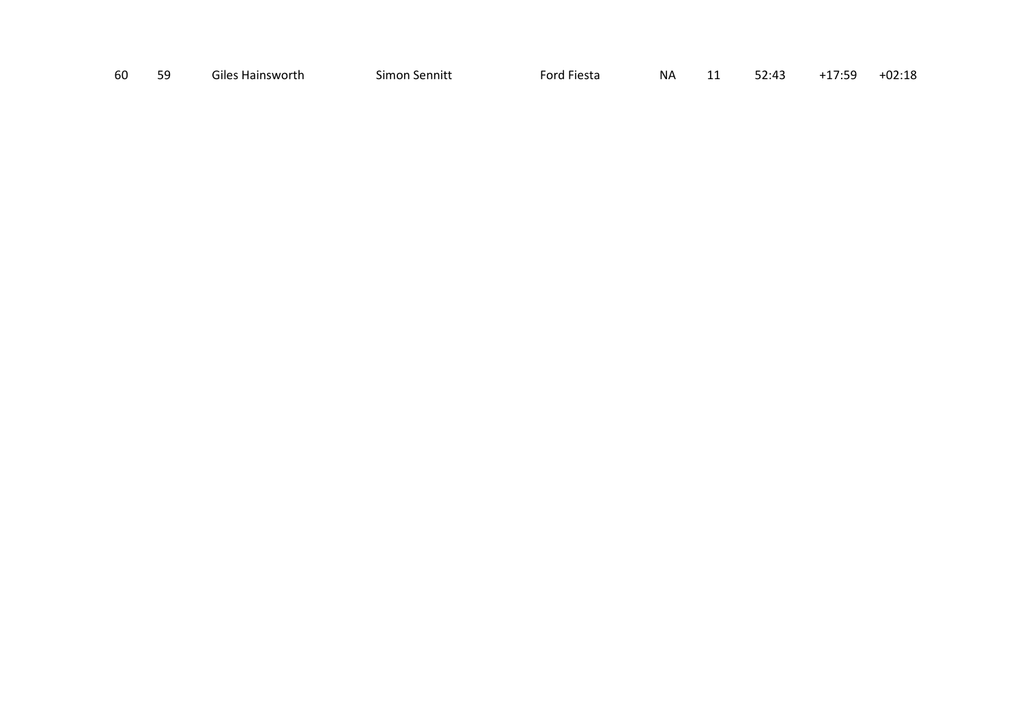| 60<br>$+17:59$<br>Giles Hainsworth<br>52.43<br>.<br>Simon Sennitt<br>ΝA<br>Ford Fiesta<br><u>JZ.FJ</u><br>-- |  | 59 |  |  |  |  |  |  | $+02:18$ |
|--------------------------------------------------------------------------------------------------------------|--|----|--|--|--|--|--|--|----------|
|--------------------------------------------------------------------------------------------------------------|--|----|--|--|--|--|--|--|----------|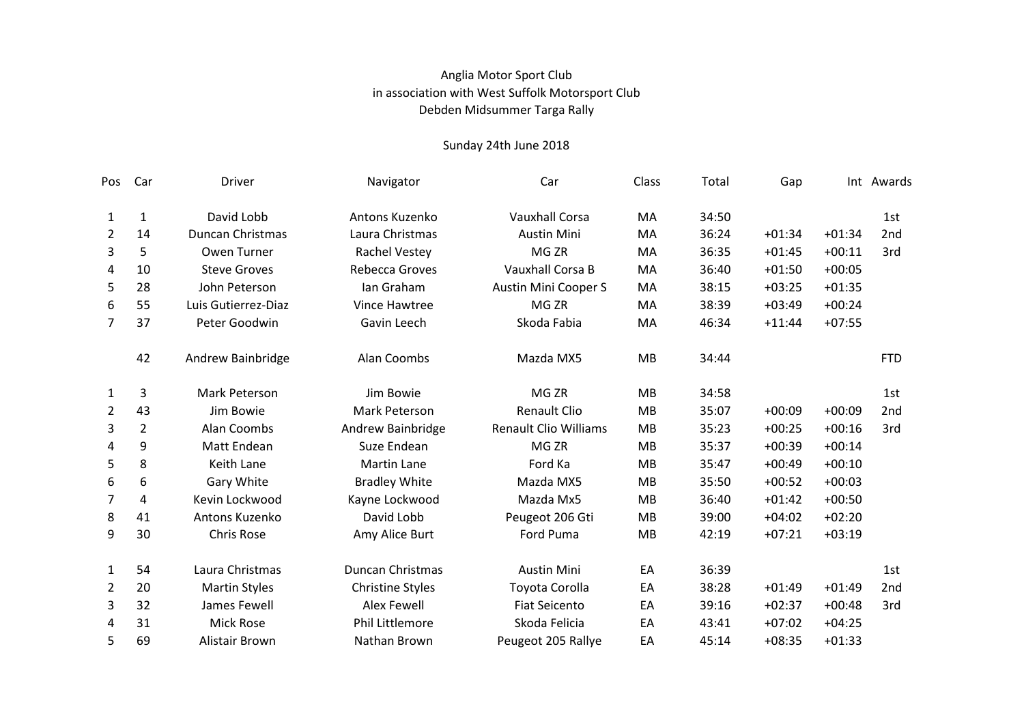## Anglia Motor Sport Club Debden Midsummer Targa Rally in association with West Suffolk Motorsport Club

| Pos            | Car            | Driver               | Navigator               | Car                          | Class     | Total | Gap      |          | Int Awards |
|----------------|----------------|----------------------|-------------------------|------------------------------|-----------|-------|----------|----------|------------|
| $\mathbf{1}$   | $\mathbf{1}$   | David Lobb           | Antons Kuzenko          | <b>Vauxhall Corsa</b>        | MA        | 34:50 |          |          | 1st        |
| $\overline{2}$ | 14             | Duncan Christmas     | Laura Christmas         | <b>Austin Mini</b>           | MA        | 36:24 | $+01:34$ | $+01:34$ | 2nd        |
| 3              | 5              | <b>Owen Turner</b>   | <b>Rachel Vestey</b>    | MG <sub>ZR</sub>             | MA        | 36:35 | $+01:45$ | $+00:11$ | 3rd        |
| 4              | 10             | <b>Steve Groves</b>  | Rebecca Groves          | Vauxhall Corsa B             | MA        | 36:40 | $+01:50$ | $+00:05$ |            |
| 5              | 28             | John Peterson        | Ian Graham              | Austin Mini Cooper S         | MA        | 38:15 | $+03:25$ | $+01:35$ |            |
| 6              | 55             | Luis Gutierrez-Diaz  | Vince Hawtree           | MG ZR                        | MA        | 38:39 | $+03:49$ | $+00:24$ |            |
| $\overline{7}$ | 37             | Peter Goodwin        | Gavin Leech             | Skoda Fabia                  | MA        | 46:34 | $+11:44$ | $+07:55$ |            |
|                | 42             | Andrew Bainbridge    | Alan Coombs             | Mazda MX5                    | MB        | 34:44 |          |          | <b>FTD</b> |
| $\mathbf{1}$   | 3              | <b>Mark Peterson</b> | Jim Bowie               | MG <sub>ZR</sub>             | MB        | 34:58 |          |          | 1st        |
| $\overline{2}$ | 43             | Jim Bowie            | Mark Peterson           | <b>Renault Clio</b>          | <b>MB</b> | 35:07 | $+00:09$ | $+00:09$ | 2nd        |
| 3              | $\overline{2}$ | Alan Coombs          | Andrew Bainbridge       | <b>Renault Clio Williams</b> | <b>MB</b> | 35:23 | $+00:25$ | $+00:16$ | 3rd        |
| 4              | 9              | Matt Endean          | Suze Endean             | MG <sub>ZR</sub>             | MB        | 35:37 | $+00:39$ | $+00:14$ |            |
| 5              | 8              | Keith Lane           | <b>Martin Lane</b>      | Ford Ka                      | <b>MB</b> | 35:47 | $+00:49$ | $+00:10$ |            |
| 6              | 6              | Gary White           | <b>Bradley White</b>    | Mazda MX5                    | MB        | 35:50 | $+00:52$ | $+00:03$ |            |
| 7              | 4              | Kevin Lockwood       | Kayne Lockwood          | Mazda Mx5                    | <b>MB</b> | 36:40 | $+01:42$ | $+00:50$ |            |
| 8              | 41             | Antons Kuzenko       | David Lobb              | Peugeot 206 Gti              | MB        | 39:00 | $+04:02$ | $+02:20$ |            |
| 9              | 30             | <b>Chris Rose</b>    | Amy Alice Burt          | Ford Puma                    | MB        | 42:19 | $+07:21$ | $+03:19$ |            |
| $\mathbf{1}$   | 54             | Laura Christmas      | <b>Duncan Christmas</b> | <b>Austin Mini</b>           | EA        | 36:39 |          |          | 1st        |
| 2              | 20             | <b>Martin Styles</b> | <b>Christine Styles</b> | Toyota Corolla               | EA        | 38:28 | $+01:49$ | $+01:49$ | 2nd        |
| 3              | 32             | James Fewell         | <b>Alex Fewell</b>      | <b>Fiat Seicento</b>         | EA        | 39:16 | $+02:37$ | $+00:48$ | 3rd        |
| 4              | 31             | <b>Mick Rose</b>     | <b>Phil Littlemore</b>  | Skoda Felicia                | EA        | 43:41 | $+07:02$ | $+04:25$ |            |
| 5              | 69             | Alistair Brown       | Nathan Brown            | Peugeot 205 Rallye           | EA        | 45:14 | $+08:35$ | $+01:33$ |            |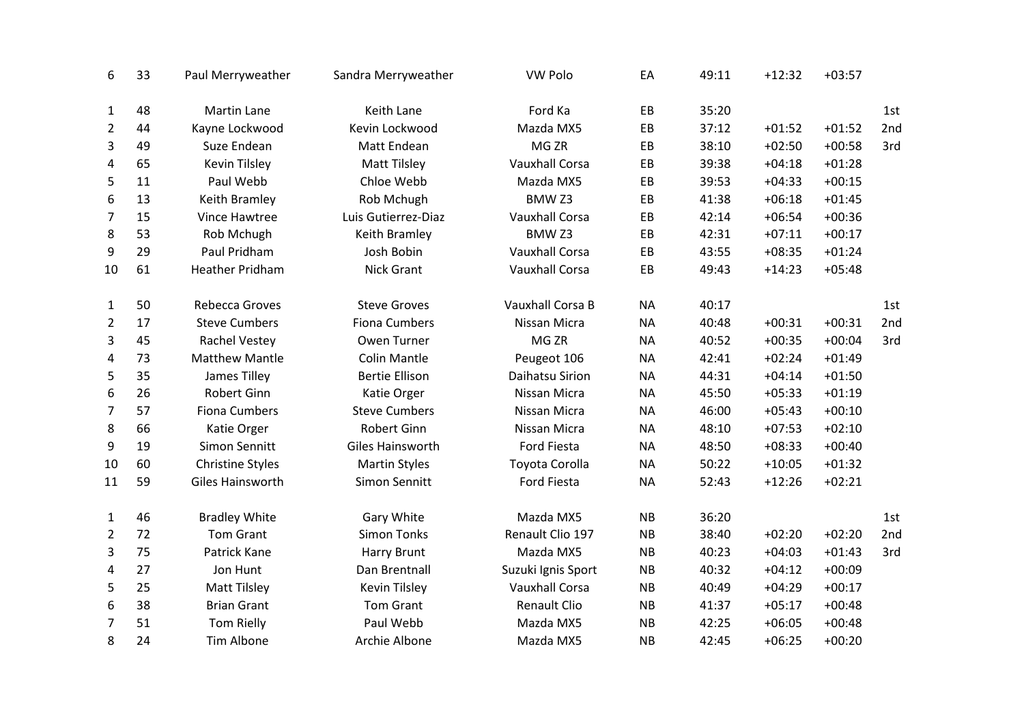| 6              | 33 | Paul Merryweather       | Sandra Merryweather   | <b>VW Polo</b>        | EA        | 49:11 | $+12:32$ | $+03:57$ |     |
|----------------|----|-------------------------|-----------------------|-----------------------|-----------|-------|----------|----------|-----|
| $\mathbf{1}$   | 48 | Martin Lane             | Keith Lane            | Ford Ka               | EB        | 35:20 |          |          | 1st |
| $\overline{2}$ | 44 | Kayne Lockwood          | Kevin Lockwood        | Mazda MX5             | EB        | 37:12 | $+01:52$ | $+01:52$ | 2nd |
| 3              | 49 | Suze Endean             | Matt Endean           | MG <sub>ZR</sub>      | EB        | 38:10 | $+02:50$ | $+00:58$ | 3rd |
| 4              | 65 | <b>Kevin Tilsley</b>    | <b>Matt Tilsley</b>   | <b>Vauxhall Corsa</b> | EB        | 39:38 | $+04:18$ | $+01:28$ |     |
| 5              | 11 | Paul Webb               | Chloe Webb            | Mazda MX5             | EB        | 39:53 | $+04:33$ | $+00:15$ |     |
| 6              | 13 | Keith Bramley           | Rob Mchugh            | BMW <sub>Z3</sub>     | EB        | 41:38 | $+06:18$ | $+01:45$ |     |
| $\overline{7}$ | 15 | Vince Hawtree           | Luis Gutierrez-Diaz   | <b>Vauxhall Corsa</b> | EB        | 42:14 | $+06:54$ | $+00:36$ |     |
| 8              | 53 | Rob Mchugh              | Keith Bramley         | BMW <sub>Z3</sub>     | EB        | 42:31 | $+07:11$ | $+00:17$ |     |
| 9              | 29 | Paul Pridham            | Josh Bobin            | <b>Vauxhall Corsa</b> | EB        | 43:55 | $+08:35$ | $+01:24$ |     |
| 10             | 61 | <b>Heather Pridham</b>  | Nick Grant            | <b>Vauxhall Corsa</b> | EB        | 49:43 | $+14:23$ | $+05:48$ |     |
| $\mathbf{1}$   | 50 | Rebecca Groves          | <b>Steve Groves</b>   | Vauxhall Corsa B      | <b>NA</b> | 40:17 |          |          | 1st |
| $\overline{2}$ | 17 | <b>Steve Cumbers</b>    | <b>Fiona Cumbers</b>  | Nissan Micra          | <b>NA</b> | 40:48 | $+00:31$ | $+00:31$ | 2nd |
| 3              | 45 | Rachel Vestey           | Owen Turner           | MG <sub>ZR</sub>      | <b>NA</b> | 40:52 | $+00:35$ | $+00:04$ | 3rd |
| 4              | 73 | <b>Matthew Mantle</b>   | <b>Colin Mantle</b>   | Peugeot 106           | <b>NA</b> | 42:41 | $+02:24$ | $+01:49$ |     |
| 5              | 35 | James Tilley            | <b>Bertie Ellison</b> | Daihatsu Sirion       | <b>NA</b> | 44:31 | $+04:14$ | $+01:50$ |     |
| 6              | 26 | <b>Robert Ginn</b>      | Katie Orger           | Nissan Micra          | <b>NA</b> | 45:50 | $+05:33$ | $+01:19$ |     |
| 7              | 57 | <b>Fiona Cumbers</b>    | <b>Steve Cumbers</b>  | Nissan Micra          | <b>NA</b> | 46:00 | $+05:43$ | $+00:10$ |     |
| 8              | 66 | Katie Orger             | <b>Robert Ginn</b>    | Nissan Micra          | <b>NA</b> | 48:10 | $+07:53$ | $+02:10$ |     |
| 9              | 19 | Simon Sennitt           | Giles Hainsworth      | Ford Fiesta           | <b>NA</b> | 48:50 | $+08:33$ | $+00:40$ |     |
| 10             | 60 | <b>Christine Styles</b> | <b>Martin Styles</b>  | Toyota Corolla        | <b>NA</b> | 50:22 | $+10:05$ | $+01:32$ |     |
| 11             | 59 | Giles Hainsworth        | Simon Sennitt         | <b>Ford Fiesta</b>    | <b>NA</b> | 52:43 | $+12:26$ | $+02:21$ |     |
| $\mathbf{1}$   | 46 | <b>Bradley White</b>    | Gary White            | Mazda MX5             | <b>NB</b> | 36:20 |          |          | 1st |
| $\overline{2}$ | 72 | <b>Tom Grant</b>        | <b>Simon Tonks</b>    | Renault Clio 197      | <b>NB</b> | 38:40 | $+02:20$ | $+02:20$ | 2nd |
| 3              | 75 | Patrick Kane            | <b>Harry Brunt</b>    | Mazda MX5             | <b>NB</b> | 40:23 | $+04:03$ | $+01:43$ | 3rd |
| 4              | 27 | Jon Hunt                | Dan Brentnall         | Suzuki Ignis Sport    | <b>NB</b> | 40:32 | $+04:12$ | $+00:09$ |     |
| 5              | 25 | <b>Matt Tilsley</b>     | Kevin Tilsley         | <b>Vauxhall Corsa</b> | <b>NB</b> | 40:49 | $+04:29$ | $+00:17$ |     |
| 6              | 38 | <b>Brian Grant</b>      | Tom Grant             | <b>Renault Clio</b>   | <b>NB</b> | 41:37 | $+05:17$ | $+00:48$ |     |
| $\overline{7}$ | 51 | <b>Tom Rielly</b>       | Paul Webb             | Mazda MX5             | <b>NB</b> | 42:25 | $+06:05$ | $+00:48$ |     |
| 8              | 24 | Tim Albone              | Archie Albone         | Mazda MX5             | <b>NB</b> | 42:45 | $+06:25$ | $+00:20$ |     |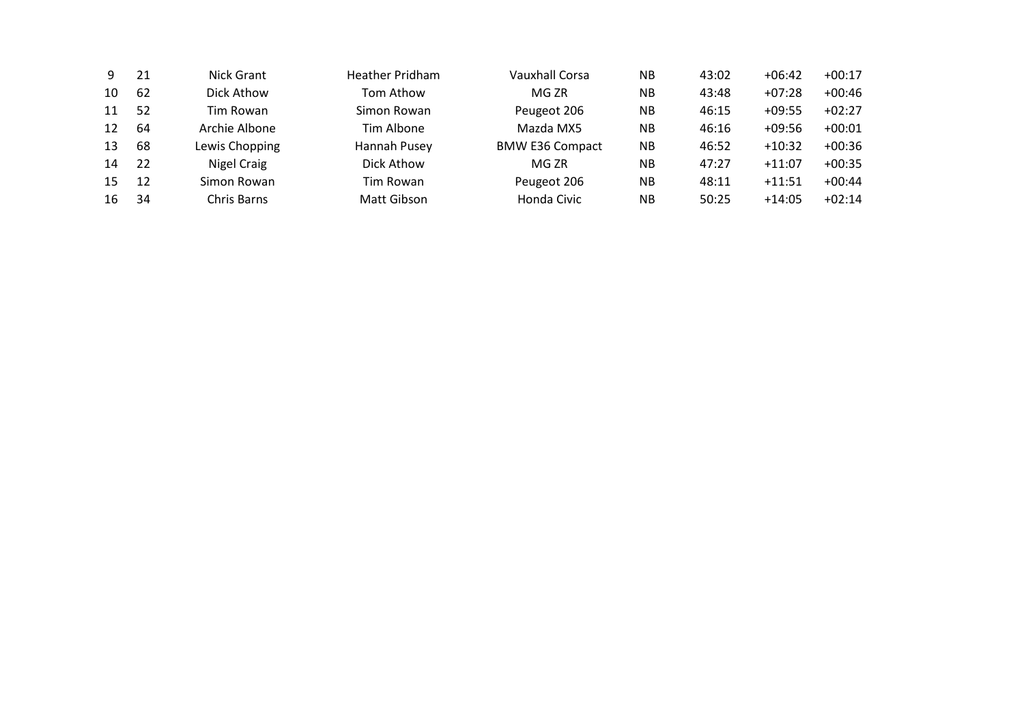| ۹. | 21 | Nick Grant     | Heather Pridham | <b>Vauxhall Corsa</b>  | <b>NB</b> | 43:02 | $+06:42$ | $+00:17$ |
|----|----|----------------|-----------------|------------------------|-----------|-------|----------|----------|
| 10 | 62 | Dick Athow     | Tom Athow       | MG ZR                  | <b>NB</b> | 43:48 | $+07:28$ | $+00:46$ |
| 11 | 52 | Tim Rowan      | Simon Rowan     | Peugeot 206            | <b>NB</b> | 46:15 | $+09:55$ | $+02:27$ |
| 12 | 64 | Archie Albone  | Tim Albone      | Mazda MX5              | ΝB        | 46:16 | $+09:56$ | $+00:01$ |
| 13 | 68 | Lewis Chopping | Hannah Pusey    | <b>BMW E36 Compact</b> | <b>NB</b> | 46:52 | $+10:32$ | $+00:36$ |
| 14 | 22 | Nigel Craig    | Dick Athow      | MG ZR                  | <b>NB</b> | 47:27 | $+11:07$ | $+00:35$ |
| 15 | 12 | Simon Rowan    | Tim Rowan       | Peugeot 206            | <b>NB</b> | 48:11 | $+11:51$ | $+00:44$ |
| 16 | 34 | Chris Barns    | Matt Gibson     | Honda Civic            | ΝB        | 50:25 | $+14:05$ | $+02:14$ |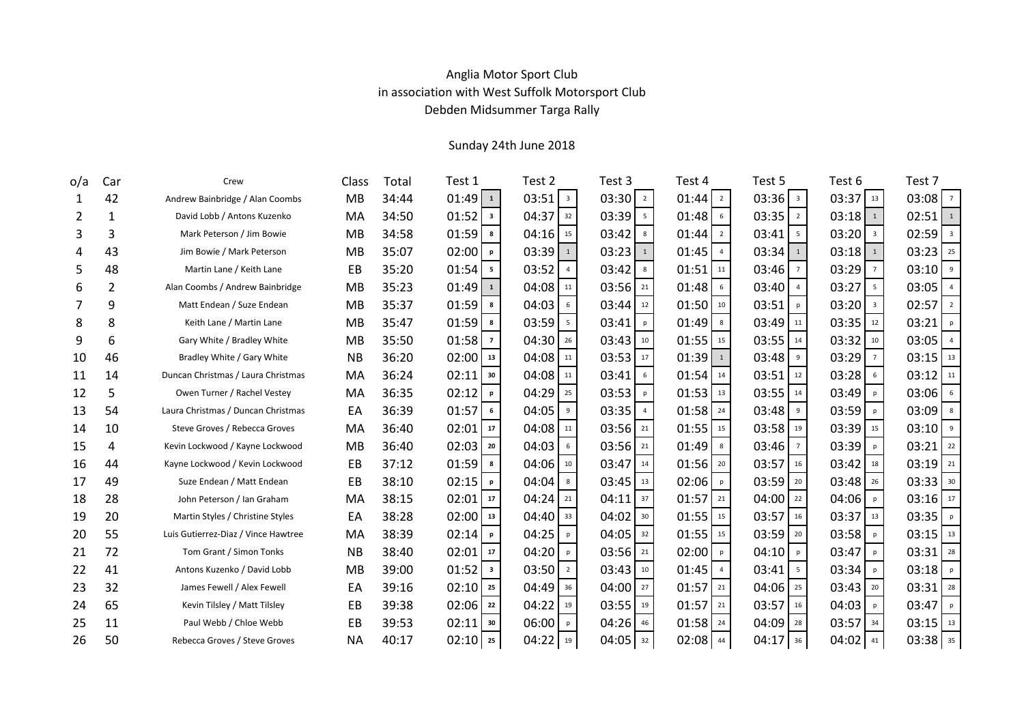## Anglia Motor Sport Club Debden Midsummer Targa Rally in association with West Suffolk Motorsport Club

| o/a | Car            | Crew                                | Class     | Total | Test 1                  | Test 2                   | Test 3                   | Test 4                   | Test 5                   | Test 6                  | Test 7                |
|-----|----------------|-------------------------------------|-----------|-------|-------------------------|--------------------------|--------------------------|--------------------------|--------------------------|-------------------------|-----------------------|
| 1   | 42             | Andrew Bainbridge / Alan Coombs     | MB        | 34:44 | $01:49$ $1$             | $03:51$ $3$              | 03:30<br>$\overline{2}$  | 01:44<br>$\overline{2}$  | $03:36$ $3$              | $03:37$ 13              | $03:08$ $7$           |
| 2   | $\mathbf{1}$   | David Lobb / Antons Kuzenko         | MA        | 34:50 | $01:52$ $3$             | 04:37<br>32              | 03:39<br>$5\phantom{.0}$ | 01:48<br>$6\phantom{.}6$ | 03:35<br>$\overline{2}$  | 03:18<br>$\mathbf{1}$   | $02:51$ $1$           |
| 3   | 3              | Mark Peterson / Jim Bowie           | MB        | 34:58 | $01:59$ 8               | 04:16<br>15              | 03:42<br>8               | 01:44<br>$\overline{2}$  | 03:41<br>5               | $03:20$ $3$             | $02:59$ $3$           |
| 4   | 43             | Jim Bowie / Mark Peterson           | <b>MB</b> | 35:07 | 02:00<br>$\mathbf{p}$   | 03:39<br>$\mathbf 1$     | $03:23$ $1$              | 01:45                    | 03:34<br>$\mathbf{1}$    | 03:18<br>$\mathbf{1}$   | $03:23$ $25$          |
| 5   | 48             | Martin Lane / Keith Lane            | EB        | 35:20 | $01:54$ s               | 03:52<br>$\overline{4}$  | 03:42<br>8               | 01:51<br>11              | 03:46<br>$\overline{7}$  | 03:29                   | $03:10$   9           |
| 6   | $\overline{2}$ | Alan Coombs / Andrew Bainbridge     | <b>MB</b> | 35:23 | 01:49<br>$\mathbf{1}$   | 04:08<br>11              | 03:56<br>21              | 01:48<br>6               | 03:40<br>$\overline{4}$  | 03:27<br>5              | $03:05$ 4             |
| 7   | 9              | Matt Endean / Suze Endean           | MB        | 35:37 | $01:59$ 8               | 04:03<br>6               | $03:44$ $12$             | 01:50<br>10              | 03:51<br>p               | $03:20$ $3$             | $02:57$ $2$           |
| 8   | 8              | Keith Lane / Martin Lane            | <b>MB</b> | 35:47 | $01:59$ 8               | 03:59<br>$5\overline{5}$ | 03:41<br>p               | 01:49<br>8               | 03:49<br>11              | 03:35<br>12             | 03:21<br>  p          |
| 9   | 6              | Gary White / Bradley White          | <b>MB</b> | 35:50 | 01:58<br>$\overline{7}$ | 04:30<br>26              | 03:43<br>10              | 01:55<br>15              | 03:55<br>14              | 03:32<br>10             | $03:05$ 4             |
| 10  | 46             | Bradley White / Gary White          | <b>NB</b> | 36:20 | $02:00$ $13$            | 04:08<br>11              | 03:53<br>17              | 01:39                    | 03:48<br>9               | 03:29<br>$\overline{7}$ | 03:15<br>13           |
| 11  | 14             | Duncan Christmas / Laura Christmas  | MA        | 36:24 | $02:11$ 30              | 04:08<br>11              | 03:41<br>6               | 01:54<br>14              | 03:51<br>12              | 03:28<br>6              | $03:12$ 11            |
| 12  | 5              | Owen Turner / Rachel Vestey         | MA        | 36:35 | 02:12<br>$\mathbf{p}$   | 04:29<br>25              | 03:53<br>p               | 01:53<br>13              | 03:55<br>14              | 03:49<br>p              | $03:06$ 6             |
| 13  | 54             | Laura Christmas / Duncan Christmas  | EA        | 36:39 | 01:57<br>6              | 04:05<br>9               | 03:35<br>$\overline{4}$  | 01:58<br>24              | 03:48<br>9               | 03:59<br>p              | $03:09$ 8             |
| 14  | 10             | Steve Groves / Rebecca Groves       | MA        | 36:40 | 02:01<br>$\vert$ 17     | 04:08<br>11              | 03:56<br>21              | 01:55<br>15              | 03:58<br>19              | 03:39<br>15             | $03:10$ $\frac{9}{5}$ |
| 15  | 4              | Kevin Lockwood / Kayne Lockwood     | MB        | 36:40 | $02:03$ $20$            | 04:03<br>$6\phantom{.}6$ | 03:56<br>21              | 01:49<br>8               | 03:46<br>$\overline{7}$  | 03:39<br>p              | 03:21<br>22           |
| 16  | 44             | Kayne Lockwood / Kevin Lockwood     | EB        | 37:12 | $01:59$ 8               | 04:06<br>10              | 03:47<br>14              | 01:56<br>20              | 03:57<br>16              | 03:42<br>18             | $03:19$ $21$          |
| 17  | 49             | Suze Endean / Matt Endean           | EB        | 38:10 | 02:15<br>$\mathbf{p}$   | 04:04<br>8               | 03:45<br>13              | 02:06<br>p               | 03:59<br>20              | $03:48$ $26$            | $03:33$ 30            |
| 18  | 28             | John Peterson / Ian Graham          | MA        | 38:15 | 02:01<br>17             | $04:24$ $21$             | 04:11<br>37              | 01:57<br>21              | 04:00<br>22              | 04:06<br>p              | $03:16$ $17$          |
| 19  | 20             | Martin Styles / Christine Styles    | EA        | 38:28 | $02:00$ $13$            | 04:40<br>33              | 04:02<br>30              | 01:55<br>15              | 03:57<br>16              | 03:37<br>13             | $03:35$   P           |
| 20  | 55             | Luis Gutierrez-Diaz / Vince Hawtree | MA        | 38:39 | 02:14<br>$\mathbf{p}$   | 04:25<br>p               | 04:05<br>32              | 01:55<br>15              | 03:59<br>20              | 03:58<br>p              | $03:15$ $13$          |
| 21  | 72             | Tom Grant / Simon Tonks             | <b>NB</b> | 38:40 | $02:01$ 17              | 04:20<br>p               | 03:56<br>21              | 02:00<br>p               | 04:10<br>p               | 03:47<br>p              | $03:31$ 28            |
| 22  | 41             | Antons Kuzenko / David Lobb         | <b>MB</b> | 39:00 | 01:52<br>$\vert$ 3      | 03:50<br>$\overline{2}$  | 03:43<br>10              | 01:45<br>$\overline{4}$  | 03:41<br>$5\overline{)}$ | 03:34<br>p              | $03:18$ P             |
| 23  | 32             | James Fewell / Alex Fewell          | EA        | 39:16 | $02:10$ $25$            | 04:49<br>36              | 04:00<br>27              | 01:57<br>21              | 04:06<br>25              | $03:43$ $20$            | $03:31$ $28$          |
| 24  | 65             | Kevin Tilsley / Matt Tilsley        | EB        | 39:38 | $02:06$ $22$            | 04:22<br>19              | 03:55<br>19              | 01:57<br>21              | 03:57<br>16              | 04:03<br>p              | 03:47<br>p            |
| 25  | 11             | Paul Webb / Chloe Webb              | EB        | 39:53 | $02:11$ 30              | 06:00<br>p               | 04:26<br>46              | 01:58<br>24              | 04:09<br>28              | 03:57 34                | $03:15$ $13$          |
| 26  | 50             | Rebecca Groves / Steve Groves       | <b>NA</b> | 40:17 | $02:10$ $25$            | 04:22<br>19              | $04:05$ 32               | 02:08<br>44              | 04:17<br>36              | 04:02 41                | 03:38 35              |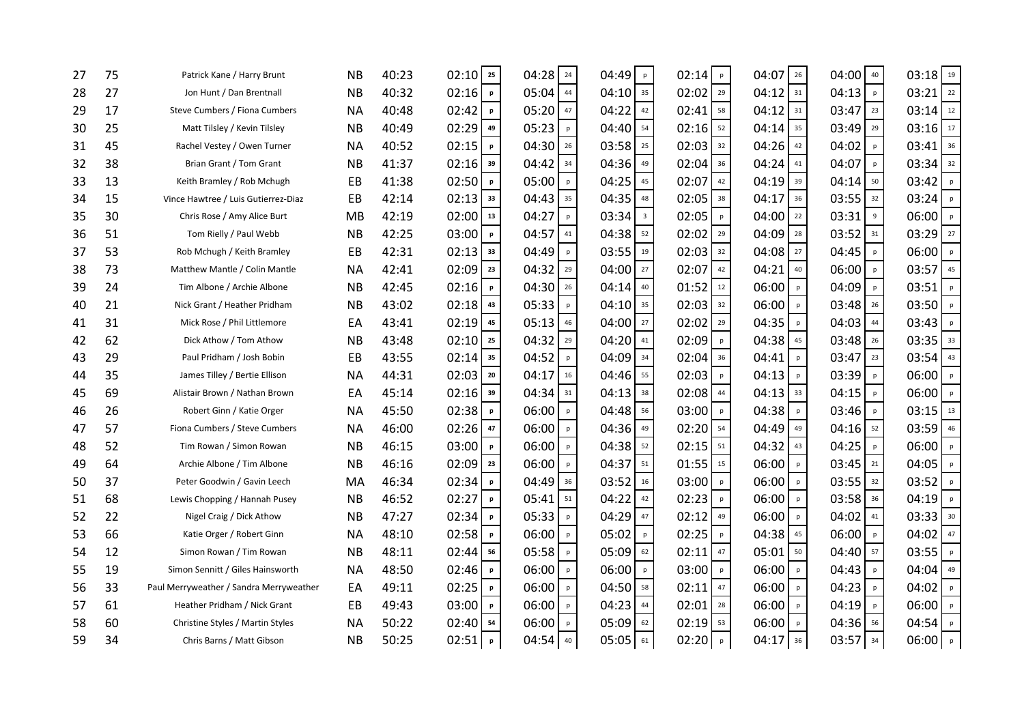| 27 | 75 | Patrick Kane / Harry Brunt              | <b>NB</b> | 40:23 | $02:10$ $25$          | 04:28<br>24                                         | 04:49<br>p                       | 02:14<br>$\,$ p                            | 04:07<br>26           | $04:00$ 40           | 03:18<br>19           |
|----|----|-----------------------------------------|-----------|-------|-----------------------|-----------------------------------------------------|----------------------------------|--------------------------------------------|-----------------------|----------------------|-----------------------|
| 28 | 27 | Jon Hunt / Dan Brentnall                | <b>NB</b> | 40:32 | 02:16<br>$\mathsf{p}$ | 05:04<br>44                                         | $04:10$ 35                       | 02:02<br>29                                | 04:12<br>31           | 04:13<br>p           | 22<br>03:21           |
| 29 | 17 | Steve Cumbers / Fiona Cumbers           | <b>NA</b> | 40:48 | 02:42<br>$\mathsf{p}$ | $05:20$ 47                                          | 04:22<br>42                      | 02:41<br>58                                | 04:12<br>31           | $03:47$ $23$         | $03:14$ 12            |
| 30 | 25 | Matt Tilsley / Kevin Tilsley            | <b>NB</b> | 40:49 | 02:29<br>49           | 05:23<br>p                                          | 04:40<br>54                      | 02:16<br>52                                | 04:14<br>35           | 03:49<br>29          | 03:16<br>$17$         |
| 31 | 45 | Rachel Vestey / Owen Turner             | <b>NA</b> | 40:52 | 02:15<br>p            | 04:30<br>26                                         | 03:58<br>25                      | 02:03<br>32                                | 04:26<br>42           | 04:02<br>p           | 36<br>03:41           |
| 32 | 38 | Brian Grant / Tom Grant                 | <b>NB</b> | 41:37 | $02:16$ 39            | 04:42<br>34                                         | 04:36<br>49                      | 02:04<br>36                                | 04:24<br>41           | 04:07<br>p           | $03:34$ 32            |
| 33 | 13 | Keith Bramley / Rob Mchugh              | EB        | 41:38 | 02:50<br>$\mathsf{p}$ | 05:00<br>p                                          | 04:25<br>45                      | 02:07<br>42                                | 04:19<br>39           | $04:14$ 50           | 03:42<br>$\mathsf{p}$ |
| 34 | 15 | Vince Hawtree / Luis Gutierrez-Diaz     | EB        | 42:14 | $02:13$ 33            | 04:43<br>35                                         | 04:35<br>48                      | 02:05<br>38                                | 04:17<br>36           | $03:55$ 32           | 03:24<br>$\mathsf{p}$ |
| 35 | 30 | Chris Rose / Amy Alice Burt             | <b>MB</b> | 42:19 | $02:00$ $13$          | 04:27<br>p                                          | 03:34<br>$\overline{\mathbf{3}}$ | 02:05<br>$\sf p$                           | 04:00<br>22           | 03:31<br>$\mathsf g$ | 06:00<br>$\mathsf{p}$ |
| 36 | 51 | Tom Rielly / Paul Webb                  | <b>NB</b> | 42:25 | 03:00<br>$\mathsf{p}$ | 04:57<br>41                                         | 04:38<br>52                      | 02:02<br>29                                | 04:09<br>28           | $03:52$ 31           | 03:29<br>27           |
| 37 | 53 | Rob Mchugh / Keith Bramley              | EB        | 42:31 | $02:13$ 33            | 04:49<br>p                                          | 03:55<br>19                      | 02:03<br>32                                | 04:08<br>27           | 04:45<br>p           | 06:00<br>$\mathsf{p}$ |
| 38 | 73 | Matthew Mantle / Colin Mantle           | <b>NA</b> | 42:41 | 02:09<br>23           | 04:32<br>29                                         | 04:00<br>27                      | 02:07<br>42                                | 04:21<br>40           | 06:00<br>p           | 03:57<br>45           |
| 39 | 24 | Tim Albone / Archie Albone              | <b>NB</b> | 42:45 | 02:16<br>p            | 04:30<br>26                                         | 04:14<br>40                      | 01:52<br>$12\,$                            | 06:00<br>p            | 04:09<br>p           | 03:51<br>$\mathsf{p}$ |
| 40 | 21 | Nick Grant / Heather Pridham            | <b>NB</b> | 43:02 | $02:18$ 43            | 05:33<br>$\mathsf{p}% _{T}\left( \mathsf{p}\right)$ | 04:10<br>35                      | 02:03<br>32                                | 06:00<br>$\mathsf{p}$ | $03:48$ $26$         | 03:50<br>p            |
| 41 | 31 | Mick Rose / Phil Littlemore             | EA        | 43:41 | 02:19<br>45           | 05:13<br>46                                         | $04:00$ $27$                     | 02:02<br>29                                | 04:35<br>$\mathsf{p}$ | 04:03<br>44          | 03:43<br>$\mathsf{p}$ |
| 42 | 62 | Dick Athow / Tom Athow                  | <b>NB</b> | 43:48 | $02:10$ $25$          | 04:32<br>29                                         | 04:20<br>41                      | 02:09<br>$\mathsf{p}% _{T}=\mathsf{p}_{T}$ | 04:38<br>45           | $03:48$ $26$         | 03:35<br>33           |
| 43 | 29 | Paul Pridham / Josh Bobin               | EB        | 43:55 | $02:14$ 35            | 04:52<br>p                                          | 04:09<br>34                      | 02:04<br>36                                | 04:41<br>p            | $03:47$ $23$         | 43<br>03:54           |
| 44 | 35 | James Tilley / Bertie Ellison           | <b>NA</b> | 44:31 | $02:03$ $20$          | 04:17<br>16                                         | 04:46<br>55                      | 02:03<br>p                                 | 04:13<br>$\mathsf{p}$ | 03:39<br>p           | 06:00<br>$\mathsf{p}$ |
| 45 | 69 | Alistair Brown / Nathan Brown           | EA        | 45:14 | $02:16$ 39            | $04:34$ 31                                          | 04:13<br>38                      | 02:08<br>44                                | 04:13<br>33           | 04:15<br>p           | 06:00<br>p            |
| 46 | 26 | Robert Ginn / Katie Orger               | <b>NA</b> | 45:50 | 02:38<br>p            | 06:00<br>p                                          | 04:48<br>56                      | 03:00<br>p                                 | 04:38<br>p            | 03:46<br>p           | 03:15<br>13           |
| 47 | 57 | Fiona Cumbers / Steve Cumbers           | <b>NA</b> | 46:00 | 02:26<br>47           | 06:00<br>p                                          | 04:36<br>49                      | 02:20<br>54                                | 04:49<br>49           | $04:16$ $52$         | 03:59<br>46           |
| 48 | 52 | Tim Rowan / Simon Rowan                 | <b>NB</b> | 46:15 | 03:00<br>$\mathsf{p}$ | 06:00<br>p                                          | 04:38<br>52                      | 02:15<br>51                                | 04:32<br>43           | 04:25<br>p           | 06:00<br>$\mathsf{p}$ |
| 49 | 64 | Archie Albone / Tim Albone              | <b>NB</b> | 46:16 | 02:09<br>23           | 06:00<br>p                                          | 04:37<br>51                      | 01:55<br>15                                | 06:00<br>p            | 03:45<br>21          | 04:05<br>p            |
| 50 | 37 | Peter Goodwin / Gavin Leech             | MA        | 46:34 | 02:34<br>p            | 04:49<br>36                                         | 03:52<br>16                      | 03:00<br>p                                 | 06:00<br>p            | $03:55$ 32           | 03:52<br>p            |
| 51 | 68 | Lewis Chopping / Hannah Pusey           | <b>NB</b> | 46:52 | 02:27<br>p            | 05:41<br>51                                         | 04:22<br>42                      | 02:23<br>p                                 | 06:00<br>$\mathsf{p}$ | 03:58 36             | 04:19<br>$\mathsf{p}$ |
| 52 | 22 | Nigel Craig / Dick Athow                | <b>NB</b> | 47:27 | 02:34<br>p            | 05:33<br>p                                          | 04:29<br>47                      | 02:12<br>49                                | 06:00<br>p            | 04:02<br>41          | 03:33<br>30           |
| 53 | 66 | Katie Orger / Robert Ginn               | <b>NA</b> | 48:10 | 02:58<br>p            | 06:00<br>p                                          | 05:02<br>$\sf p$                 | 02:25<br>p                                 | 04:38<br>45           | 06:00<br>p           | 04:02<br>47           |
| 54 | 12 | Simon Rowan / Tim Rowan                 | <b>NB</b> | 48:11 | $02:44$ 56            | 05:58<br>p                                          | 05:09<br>62                      | 02:11<br>47                                | 05:01<br>50           | $04:40$ 57           | 03:55<br>$\mathsf{p}$ |
| 55 | 19 | Simon Sennitt / Giles Hainsworth        | <b>NA</b> | 48:50 | 02:46<br>p            | 06:00<br>$\mathsf{p}% _{T}\left( \mathsf{p}\right)$ | 06:00<br>$\mathsf{p}$            | 03:00<br>p                                 | 06:00<br>$\mathsf{p}$ | 04:43<br>p           | $04:04$ $49$          |
| 56 | 33 | Paul Merryweather / Sandra Merryweather | EA        | 49:11 | 02:25<br>$\mathsf{p}$ | 06:00<br>p                                          | $04:50$ 58                       | 02:11<br>47                                | 06:00<br>p            | 04:23<br>p           | 04:02<br>$\mathsf{p}$ |
| 57 | 61 | Heather Pridham / Nick Grant            | EB        | 49:43 | 03:00<br>$\mathbf{p}$ | 06:00<br>p                                          | 04:23<br>44                      | 02:01<br>28                                | 06:00<br>p            | 04:19<br>p           | 06:00<br>$\mathsf{p}$ |
| 58 | 60 | Christine Styles / Martin Styles        | <b>NA</b> | 50:22 | 02:40<br>54           | 06:00<br>p                                          | $05:09$ 62                       | 02:19<br>53                                | 06:00<br>p            | $04:36$ 56           | 04:54<br>p            |
| 59 | 34 | Chris Barns / Matt Gibson               | NB        | 50:25 | 02:51<br>$\, {\bf p}$ | $04:54$ 40                                          | 05:05<br>61                      | 02:20<br>p                                 | 04:17<br>36           | 03:57 34             | $06:00$ $\degree$     |
|    |    |                                         |           |       |                       |                                                     |                                  |                                            |                       |                      |                       |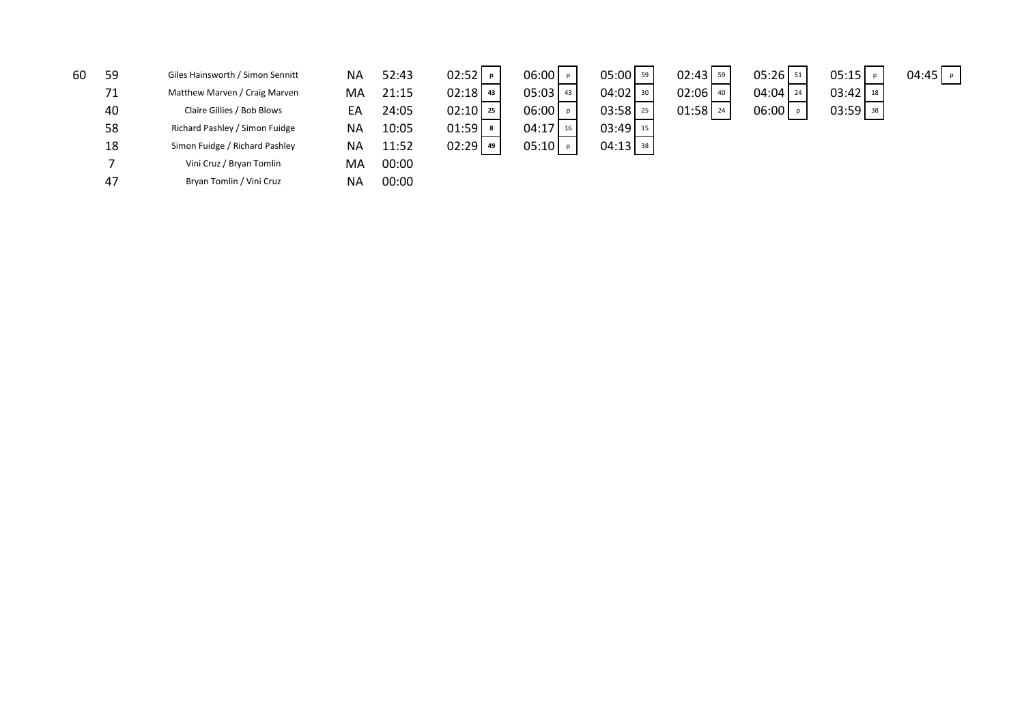| 60 | 59 | Giles Hainsworth / Simon Sennitt | <b>NA</b> | 52:43 | $02:52$   P  | $06:00$   P | 05:00   59   | $02:43$ $59$ | $05:26$ $51$ | 05:15      | 04:45 |
|----|----|----------------------------------|-----------|-------|--------------|-------------|--------------|--------------|--------------|------------|-------|
|    | 71 | Matthew Marven / Craig Marven    | MA        | 21:15 | $02:18$ $43$ | $05:03$ 43  | $04:02$ 30   | $02:06$ 40   | $04:04$ $24$ | $03:42$ 18 |       |
|    | 40 | Claire Gillies / Bob Blows       | EA        | 24:05 | $02:10$ 25   | $06:00$   P | $03:58$ $25$ | $01:58$   24 | $06:00$   P  | $03:59$ 38 |       |
|    | 58 | Richard Pashley / Simon Fuidge   | NA        | 10:05 | 01:59        | $04:17$ 16  | $03:49$ 15   |              |              |            |       |
|    | 18 | Simon Fuidge / Richard Pashley   | <b>NA</b> | 11:52 | $02:29$ $49$ | $05:10$ P   | $04:13$ 38   |              |              |            |       |
|    |    | Vini Cruz / Bryan Tomlin         | MA        | 00:00 |              |             |              |              |              |            |       |
|    | 47 | Bryan Tomlin / Vini Cruz         | ΝA        | 00:00 |              |             |              |              |              |            |       |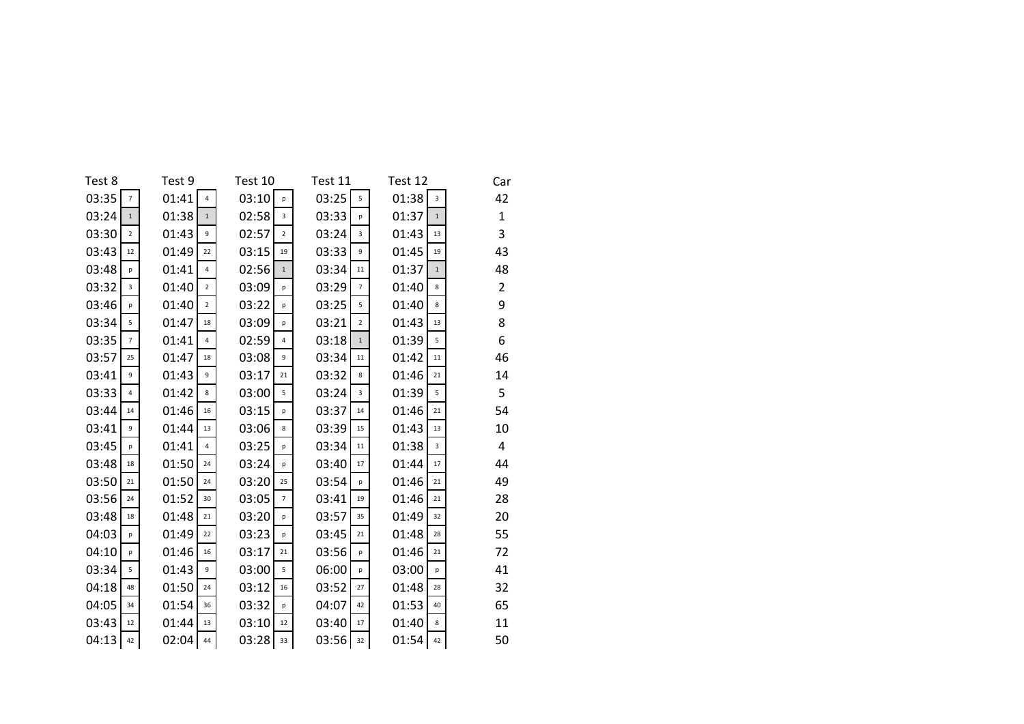| Test 8         | Test 9         | Test 10        | Test 11        | Test 12 | Car            |
|----------------|----------------|----------------|----------------|---------|----------------|
| 03:35          | 01:41          | 03:10          | 03:25          | 01:38   | 42             |
| $\overline{7}$ | $\overline{4}$ | p              | 5              | 3       |                |
| 03:24          | 01:38          | 02:58          | 03:33          | 01:37   | $\mathbf{1}$   |
| $\mathbf{1}$   | $\mathbf{1}$   | 3              | p              | $\,1\,$ |                |
| 03:30          | 01:43          | 02:57          | 03:24          | 01:43   | 3              |
| $\overline{2}$ | 9              | $\overline{2}$ | 3              | 13      |                |
| 03:43          | 01:49          | 03:15          | 03:33          | 01:45   | 43             |
| 12             | 22             | 19             | 9              | 19      |                |
| 03:48          | 01:41          | 02:56          | 03:34          | 01:37   | 48             |
| p              | 4              | $\mathbf{1}$   | 11             | $1\,$   |                |
| 03:32          | 01:40          | 03:09          | 03:29          | 01:40   | $\overline{2}$ |
| 3              | $\overline{2}$ | p              | $\overline{7}$ | 8       |                |
| 03:46          | 01:40          | 03:22          | 03:25          | 01:40   | 9              |
| p              | $\overline{2}$ | p              | 5              | 8       |                |
| 03:34          | 01:47          | 03:09          | 03:21          | 01:43   | 8              |
| 5              | 18             | p              | $\overline{2}$ | 13      |                |
| 03:35          | 01:41          | 02:59          | 03:18          | 01:39   | 6              |
| $\overline{7}$ | 4              | 4              | $\,1\,$        | 5       |                |
| 03:57          | 01:47          | 03:08          | 03:34          | 01:42   | 46             |
| 25             | 18             | 9              | 11             | 11      |                |
| 03:41          | 01:43          | 03:17          | 03:32          | 01:46   | 14             |
| 9              | 9              | 21             | 8              | 21      |                |
| 03:33          | 01:42          | 03:00          | 03:24          | 01:39   | 5              |
| 4              | 8              | 5              | 3              | 5       |                |
| 03:44          | 01:46          | 03:15          | 03:37          | 01:46   | 54             |
| 14             | 16             | p              | 14             | 21      |                |
| 03:41          | 01:44          | 03:06          | 03:39          | 01:43   | 10             |
| 9              | 13             | 8              | 15             | 13      |                |
| 03:45          | 01:41          | 03:25          | 03:34          | 01:38   | 4              |
| p              | $\overline{4}$ | p              | 11             | 3       |                |
| 03:48          | 01:50          | 03:24          | 03:40          | 01:44   | 44             |
| 18             | 24             | p              | 17             | 17      |                |
| 03:50          | 01:50          | 03:20          | 03:54          | 01:46   | 49             |
| 21             | 24             | 25             | p              | 21      |                |
| 03:56          | 01:52          | 03:05          | 03:41          | 01:46   | 28             |
| 24             | 30             | $\overline{7}$ | 19             | 21      |                |
| 03:48          | 01:48          | 03:20          | 03:57          | 01:49   | 20             |
| 18             | 21             | p              | 35             | 32      |                |
| 04:03          | 01:49          | 03:23          | 03:45          | 01:48   | 55             |
| p              | 22             | p              | 21             | 28      |                |
| 04:10          | 01:46          | 03:17          | 03:56          | 01:46   | 72             |
| p              | 16             | 21             | p              | 21      |                |
| 03:34          | 01:43          | 03:00          | 06:00          | 03:00   | 41             |
| 5              | 9              | 5              | p              | p       |                |
| 04:18          | 01:50          | 03:12          | 03:52          | 01:48   | 32             |
| 48             | 24             | 16             | 27             | 28      |                |
| 04:05          | 01:54          | 03:32          | 04:07          | 01:53   | 65             |
| 34             | 36             | p              | 42             | 40      |                |
| 03:43          | 01:44          | 03:10          | 03:40          | 01:40   | 11             |
| 12             | 13             | 12             | 17             | 8       |                |
| 04:13          | 02:04          | 03:28          | 03:56          | 01:54   | 50             |
| 42             | 44             | 33             | 32             | 42      |                |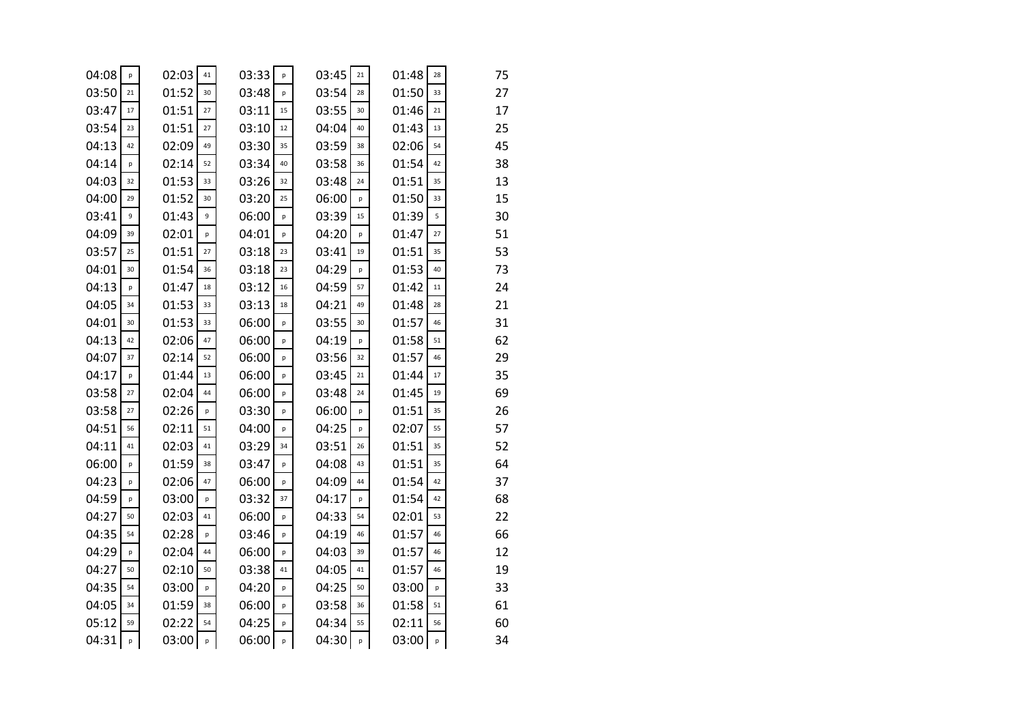| 04:08 | р            | 02:03 | 41 | 03:33 | p  | 03:45 | 21 | 01:48 | 28 | 75 |
|-------|--------------|-------|----|-------|----|-------|----|-------|----|----|
| 03:50 | 21           | 01:52 | 30 | 03:48 | p  | 03:54 | 28 | 01:50 | 33 | 27 |
| 03:47 | 17           | 01:51 | 27 | 03:11 | 15 | 03:55 | 30 | 01:46 | 21 | 17 |
| 03:54 | 23           | 01:51 | 27 | 03:10 | 12 | 04:04 | 40 | 01:43 | 13 | 25 |
| 04:13 | 42           | 02:09 | 49 | 03:30 | 35 | 03:59 | 38 | 02:06 | 54 | 45 |
| 04:14 | $\mathsf{p}$ | 02:14 | 52 | 03:34 | 40 | 03:58 | 36 | 01:54 | 42 | 38 |
| 04:03 | 32           | 01:53 | 33 | 03:26 | 32 | 03:48 | 24 | 01:51 | 35 | 13 |
| 04:00 | 29           | 01:52 | 30 | 03:20 | 25 | 06:00 | p  | 01:50 | 33 | 15 |
| 03:41 | 9            | 01:43 | 9  | 06:00 | p  | 03:39 | 15 | 01:39 | 5  | 30 |
| 04:09 | 39           | 02:01 | p  | 04:01 | p  | 04:20 | p  | 01:47 | 27 | 51 |
| 03:57 | 25           | 01:51 | 27 | 03:18 | 23 | 03:41 | 19 | 01:51 | 35 | 53 |
| 04:01 | 30           | 01:54 | 36 | 03:18 | 23 | 04:29 | p  | 01:53 | 40 | 73 |
| 04:13 | p            | 01:47 | 18 | 03:12 | 16 | 04:59 | 57 | 01:42 | 11 | 24 |
| 04:05 | 34           | 01:53 | 33 | 03:13 | 18 | 04:21 | 49 | 01:48 | 28 | 21 |
| 04:01 | 30           | 01:53 | 33 | 06:00 | p  | 03:55 | 30 | 01:57 | 46 | 31 |
| 04:13 | 42           | 02:06 | 47 | 06:00 | p  | 04:19 | p  | 01:58 | 51 | 62 |
| 04:07 | 37           | 02:14 | 52 | 06:00 | p  | 03:56 | 32 | 01:57 | 46 | 29 |
| 04:17 | p            | 01:44 | 13 | 06:00 | p  | 03:45 | 21 | 01:44 | 17 | 35 |
| 03:58 | 27           | 02:04 | 44 | 06:00 | p  | 03:48 | 24 | 01:45 | 19 | 69 |
| 03:58 | 27           | 02:26 | p  | 03:30 | p  | 06:00 | p  | 01:51 | 35 | 26 |
| 04:51 | 56           | 02:11 | 51 | 04:00 | p  | 04:25 | p  | 02:07 | 55 | 57 |
| 04:11 | 41           | 02:03 | 41 | 03:29 | 34 | 03:51 | 26 | 01:51 | 35 | 52 |
| 06:00 | p            | 01:59 | 38 | 03:47 | p  | 04:08 | 43 | 01:51 | 35 | 64 |
| 04:23 | p            | 02:06 | 47 | 06:00 | p  | 04:09 | 44 | 01:54 | 42 | 37 |
| 04:59 | p            | 03:00 | p  | 03:32 | 37 | 04:17 | p  | 01:54 | 42 | 68 |
| 04:27 | 50           | 02:03 | 41 | 06:00 | p  | 04:33 | 54 | 02:01 | 53 | 22 |
| 04:35 | 54           | 02:28 | p  | 03:46 | p  | 04:19 | 46 | 01:57 | 46 | 66 |
| 04:29 | p            | 02:04 | 44 | 06:00 | p  | 04:03 | 39 | 01:57 | 46 | 12 |
| 04:27 | 50           | 02:10 | 50 | 03:38 | 41 | 04:05 | 41 | 01:57 | 46 | 19 |
| 04:35 | 54           | 03:00 | p  | 04:20 | p  | 04:25 | 50 | 03:00 | p  | 33 |
| 04:05 | 34           | 01:59 | 38 | 06:00 | p  | 03:58 | 36 | 01:58 | 51 | 61 |
| 05:12 | 59           | 02:22 | 54 | 04:25 | p  | 04:34 | 55 | 02:11 | 56 | 60 |
| 04:31 | p            | 03:00 | р  | 06:00 | p  | 04:30 | p  | 03:00 | р  | 34 |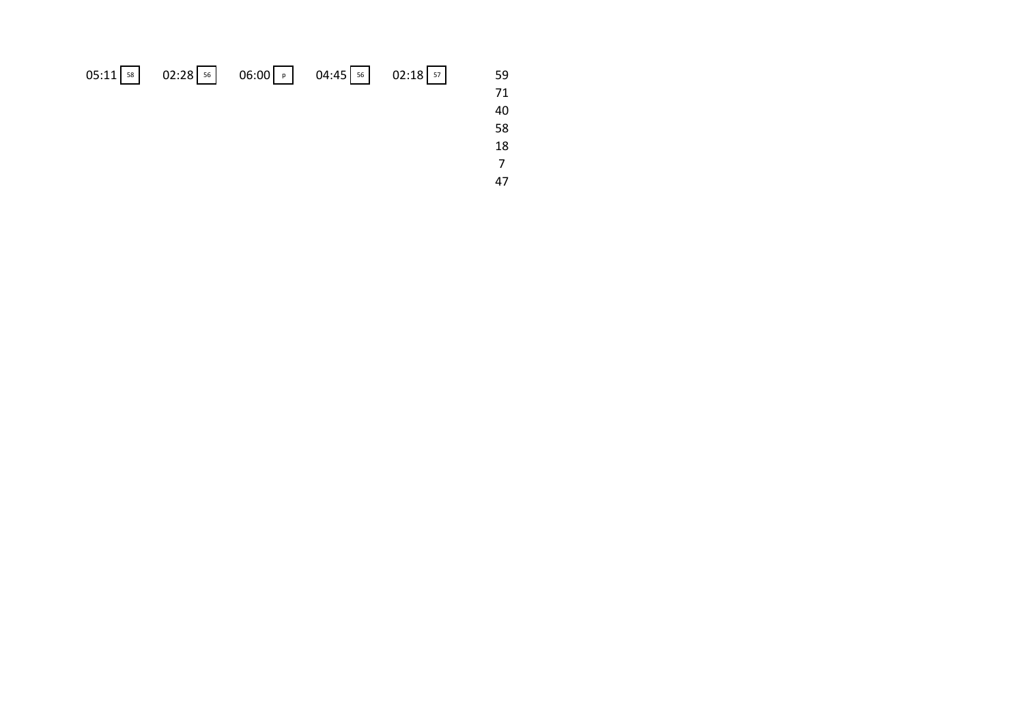|  |  | 05:11 58 02:28 56 06:00 0 04:45 56 02:18 57 59 |  |
|--|--|------------------------------------------------|--|
|  |  |                                                |  |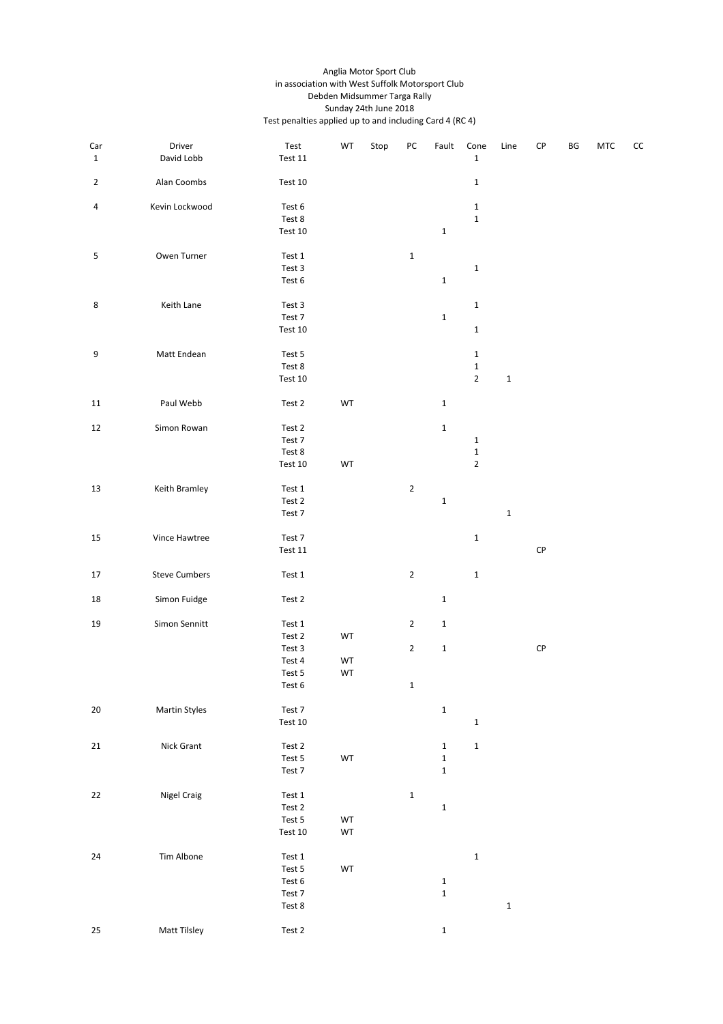#### Anglia Motor Sport Club in association with West Suffolk Motorsport Club Debden Midsummer Targa Rally Sunday 24th June 2018 Test penalties applied up to and including Card 4 (RC 4)

| Car<br>$\mathbf{1}$ | Driver<br>David Lobb | $\operatorname{\sf Test}$<br>Test $11$ | WT       | Stop | PC          | Fault        | Cone<br>$\mathbf 1$ | Line        | CP         | BG | <b>MTC</b> | CC |
|---------------------|----------------------|----------------------------------------|----------|------|-------------|--------------|---------------------|-------------|------------|----|------------|----|
| $\overline{2}$      | Alan Coombs          | Test 10                                |          |      |             |              | $\mathbf{1}$        |             |            |    |            |    |
| 4                   | Kevin Lockwood       | Test 6                                 |          |      |             |              | $\mathbf 1$         |             |            |    |            |    |
|                     |                      | Test 8                                 |          |      |             |              | $\mathbf{1}$        |             |            |    |            |    |
|                     |                      | Test 10                                |          |      |             | $\mathbf{1}$ |                     |             |            |    |            |    |
|                     |                      |                                        |          |      |             |              |                     |             |            |    |            |    |
| 5                   | Owen Turner          | Test 1                                 |          |      | $\mathbf 1$ |              |                     |             |            |    |            |    |
|                     |                      | Test 3                                 |          |      |             |              | $\mathbf 1$         |             |            |    |            |    |
|                     |                      | Test 6                                 |          |      |             | $\mathbf{1}$ |                     |             |            |    |            |    |
| 8                   | Keith Lane           | Test 3                                 |          |      |             |              | $\mathbf 1$         |             |            |    |            |    |
|                     |                      | Test 7                                 |          |      |             | $\mathbf{1}$ |                     |             |            |    |            |    |
|                     |                      | Test 10                                |          |      |             |              | $\mathbf 1$         |             |            |    |            |    |
| 9                   | Matt Endean          | Test 5                                 |          |      |             |              | $\mathbf{1}$        |             |            |    |            |    |
|                     |                      | Test 8                                 |          |      |             |              | $\mathbf 1$         |             |            |    |            |    |
|                     |                      | Test 10                                |          |      |             |              | $\mathbf 2$         | $\mathbf 1$ |            |    |            |    |
| 11                  | Paul Webb            | Test 2                                 | WT       |      |             | $\mathbf{1}$ |                     |             |            |    |            |    |
|                     |                      |                                        |          |      |             |              |                     |             |            |    |            |    |
| 12                  | Simon Rowan          | Test 2                                 |          |      |             | $\mathbf 1$  |                     |             |            |    |            |    |
|                     |                      | Test 7                                 |          |      |             |              | $\mathbf 1$         |             |            |    |            |    |
|                     |                      | Test 8                                 |          |      |             |              | $\mathbf 1$         |             |            |    |            |    |
|                     |                      | Test 10                                | WT       |      |             |              | $\mathbf 2$         |             |            |    |            |    |
| 13                  | Keith Bramley        | Test 1                                 |          |      | $\mathbf 2$ |              |                     |             |            |    |            |    |
|                     |                      | Test 2                                 |          |      |             | $\mathbf 1$  |                     |             |            |    |            |    |
|                     |                      | Test 7                                 |          |      |             |              |                     | $\mathbf 1$ |            |    |            |    |
| 15                  | Vince Hawtree        | Test 7                                 |          |      |             |              | $\mathbf 1$         |             |            |    |            |    |
|                     |                      | Test $11$                              |          |      |             |              |                     |             | ${\sf CP}$ |    |            |    |
|                     |                      |                                        |          |      |             |              |                     |             |            |    |            |    |
| 17                  | <b>Steve Cumbers</b> | Test $\mathbf 1$                       |          |      | $\mathbf 2$ |              | $\mathbf{1}$        |             |            |    |            |    |
| 18                  | Simon Fuidge         | Test 2                                 |          |      |             | $\mathbf 1$  |                     |             |            |    |            |    |
| 19                  | Simon Sennitt        | Test 1                                 |          |      | $\mathbf 2$ | $\mathbf 1$  |                     |             |            |    |            |    |
|                     |                      | Test 2                                 | WT       |      |             |              |                     |             |            |    |            |    |
|                     |                      | Test 3                                 |          |      | $\mathbf 2$ | $\mathbf 1$  |                     |             | ${\sf CP}$ |    |            |    |
|                     |                      | Test 4                                 | WT       |      |             |              |                     |             |            |    |            |    |
|                     |                      | Test 5                                 | WT       |      |             |              |                     |             |            |    |            |    |
|                     |                      | Test 6                                 |          |      | 1           |              |                     |             |            |    |            |    |
| 20                  | <b>Martin Styles</b> | Test 7                                 |          |      |             | $\mathbf 1$  |                     |             |            |    |            |    |
|                     |                      | Test 10                                |          |      |             |              | $\mathbf 1$         |             |            |    |            |    |
| 21                  | Nick Grant           | Test 2                                 |          |      |             | $\mathbf 1$  | $\mathbf 1$         |             |            |    |            |    |
|                     |                      | Test 5                                 | WT       |      |             | $\mathbf 1$  |                     |             |            |    |            |    |
|                     |                      | Test 7                                 |          |      |             | $\mathbf 1$  |                     |             |            |    |            |    |
|                     |                      |                                        |          |      |             |              |                     |             |            |    |            |    |
| 22                  | <b>Nigel Craig</b>   | Test $\mathbf 1$                       |          |      | $\mathbf 1$ |              |                     |             |            |    |            |    |
|                     |                      | Test 2<br>Test 5                       |          |      |             | $\mathbf 1$  |                     |             |            |    |            |    |
|                     |                      | Test 10                                | WT<br>WT |      |             |              |                     |             |            |    |            |    |
|                     |                      |                                        |          |      |             |              |                     |             |            |    |            |    |
| 24                  | Tim Albone           | Test $\mathbf 1$                       |          |      |             |              | $\mathbf 1$         |             |            |    |            |    |
|                     |                      | Test 5                                 | WT       |      |             |              |                     |             |            |    |            |    |
|                     |                      | Test 6                                 |          |      |             | $\mathbf 1$  |                     |             |            |    |            |    |
|                     |                      | Test 7                                 |          |      |             | $\mathbf 1$  |                     |             |            |    |            |    |
|                     |                      | Test 8                                 |          |      |             |              |                     | $\mathbf 1$ |            |    |            |    |
| 25                  | Matt Tilsley         | Test 2                                 |          |      |             | $\mathbf 1$  |                     |             |            |    |            |    |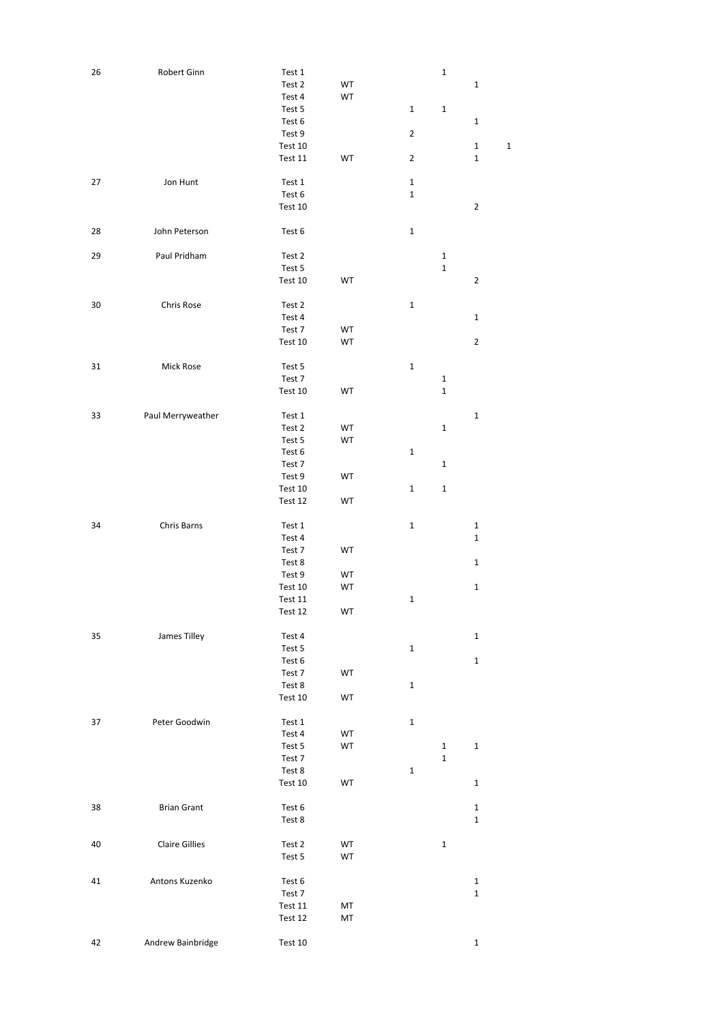| 26 | Robert Ginn           | Test 1  |    |                | $\mathbf 1$ |                |              |
|----|-----------------------|---------|----|----------------|-------------|----------------|--------------|
|    |                       | Test 2  | WT |                |             | $\mathbf 1$    |              |
|    |                       | Test 4  | WT |                |             |                |              |
|    |                       | Test 5  |    | 1              | 1           |                |              |
|    |                       | Test 6  |    |                |             | $\mathbf 1$    |              |
|    |                       | Test 9  |    | $\overline{2}$ |             |                |              |
|    |                       | Test 10 |    |                |             | $\mathbf 1$    | $\mathbf{1}$ |
|    |                       |         |    |                |             | $\mathbf 1$    |              |
|    |                       | Test 11 | WT | $\overline{2}$ |             |                |              |
|    |                       |         |    |                |             |                |              |
| 27 | Jon Hunt              | Test 1  |    | 1              |             |                |              |
|    |                       | Test 6  |    | 1              |             |                |              |
|    |                       | Test 10 |    |                |             | $\mathbf 2$    |              |
|    |                       |         |    |                |             |                |              |
| 28 | John Peterson         | Test 6  |    | 1              |             |                |              |
|    |                       |         |    |                |             |                |              |
| 29 | Paul Pridham          | Test 2  |    |                | $\mathbf 1$ |                |              |
|    |                       | Test 5  |    |                | $\mathbf 1$ |                |              |
|    |                       | Test 10 | WT |                |             | $\sqrt{2}$     |              |
|    |                       |         |    |                |             |                |              |
| 30 | Chris Rose            | Test 2  |    | $\mathbf 1$    |             |                |              |
|    |                       | Test 4  |    |                |             |                |              |
|    |                       |         |    |                |             | $\mathbf 1$    |              |
|    |                       | Test 7  | WT |                |             |                |              |
|    |                       | Test 10 | WT |                |             | $\overline{2}$ |              |
|    |                       |         |    |                |             |                |              |
| 31 | Mick Rose             | Test 5  |    | 1              |             |                |              |
|    |                       | Test 7  |    |                | 1           |                |              |
|    |                       | Test 10 | WT |                | $\mathbf 1$ |                |              |
|    |                       |         |    |                |             |                |              |
| 33 | Paul Merryweather     | Test 1  |    |                |             | $\mathbf 1$    |              |
|    |                       | Test 2  | WT |                | 1           |                |              |
|    |                       | Test 5  | WT |                |             |                |              |
|    |                       | Test 6  |    | 1              |             |                |              |
|    |                       |         |    |                |             |                |              |
|    |                       | Test 7  |    |                | 1           |                |              |
|    |                       | Test 9  | WT |                |             |                |              |
|    |                       | Test 10 |    | 1              | $\mathbf 1$ |                |              |
|    |                       | Test 12 | WT |                |             |                |              |
|    |                       |         |    |                |             |                |              |
| 34 | Chris Barns           | Test 1  |    | $\mathbf 1$    |             | $\mathbf 1$    |              |
|    |                       | Test 4  |    |                |             | $\mathbf 1$    |              |
|    |                       | Test 7  | WT |                |             |                |              |
|    |                       | Test 8  |    |                |             | $\mathbf 1$    |              |
|    |                       | Test 9  | WT |                |             |                |              |
|    |                       | Test 10 | WT |                |             | $\mathbf 1$    |              |
|    |                       |         |    |                |             |                |              |
|    |                       | Test 11 |    | $\mathbf 1$    |             |                |              |
|    |                       | Test 12 | WT |                |             |                |              |
|    |                       |         |    |                |             |                |              |
| 35 | James Tilley          | Test 4  |    |                |             | $\mathbf 1$    |              |
|    |                       | Test 5  |    | 1              |             |                |              |
|    |                       | Test 6  |    |                |             | $\mathbf 1$    |              |
|    |                       | Test 7  | WT |                |             |                |              |
|    |                       | Test 8  |    | 1              |             |                |              |
|    |                       | Test 10 | WT |                |             |                |              |
|    |                       |         |    |                |             |                |              |
| 37 | Peter Goodwin         | Test 1  |    | 1              |             |                |              |
|    |                       | Test 4  | WT |                |             |                |              |
|    |                       |         |    |                |             |                |              |
|    |                       | Test 5  | WT |                | $\mathbf 1$ | $\mathbf 1$    |              |
|    |                       | Test 7  |    |                | 1           |                |              |
|    |                       | Test 8  |    | 1              |             |                |              |
|    |                       | Test 10 | WT |                |             | $\mathbf 1$    |              |
|    |                       |         |    |                |             |                |              |
| 38 | <b>Brian Grant</b>    | Test 6  |    |                |             | $\mathbf 1$    |              |
|    |                       | Test 8  |    |                |             | $\mathbf 1$    |              |
|    |                       |         |    |                |             |                |              |
| 40 | <b>Claire Gillies</b> | Test 2  | WT |                | $\mathbf 1$ |                |              |
|    |                       | Test 5  | WT |                |             |                |              |
|    |                       |         |    |                |             |                |              |
|    |                       |         |    |                |             |                |              |
| 41 | Antons Kuzenko        | Test 6  |    |                |             | $\mathbf 1$    |              |
|    |                       | Test 7  |    |                |             | $\mathbf 1$    |              |
|    |                       | Test 11 | MT |                |             |                |              |
|    |                       | Test 12 | MT |                |             |                |              |
|    |                       |         |    |                |             |                |              |
| 42 | Andrew Bainbridge     | Test 10 |    |                |             | $\mathbf 1$    |              |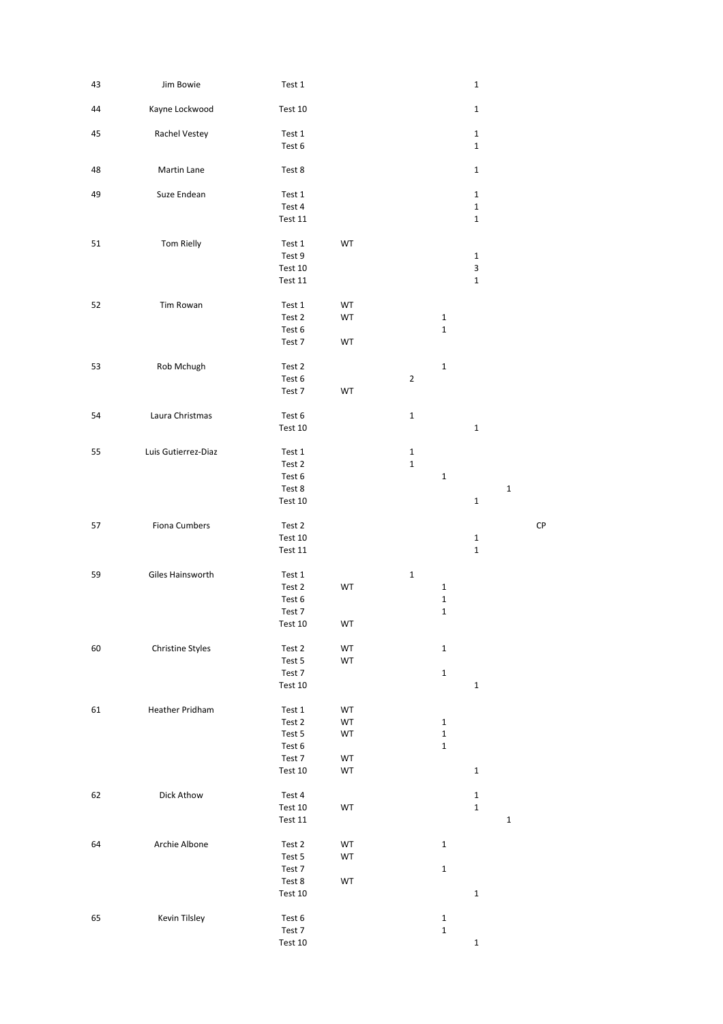| 43 | Jim Bowie           | Test 1            |    |                |              | $\mathbf 1$                |             |    |
|----|---------------------|-------------------|----|----------------|--------------|----------------------------|-------------|----|
| 44 | Kayne Lockwood      | Test 10           |    |                |              | $\mathbf 1$                |             |    |
|    |                     |                   |    |                |              |                            |             |    |
| 45 | Rachel Vestey       | Test 1<br>Test 6  |    |                |              | $\mathbf 1$<br>$\mathbf 1$ |             |    |
| 48 | Martin Lane         | Test 8            |    |                |              | $\mathbf 1$                |             |    |
|    |                     |                   |    |                |              |                            |             |    |
| 49 | Suze Endean         | Test 1            |    |                |              | $\mathbf 1$                |             |    |
|    |                     | Test 4            |    |                |              | $\mathbf 1$                |             |    |
|    |                     | Test 11           |    |                |              | $\mathbf 1$                |             |    |
| 51 | Tom Rielly          | Test 1            | WT |                |              |                            |             |    |
|    |                     | Test 9            |    |                |              | $\mathbf 1$                |             |    |
|    |                     | Test 10           |    |                |              | $\mathsf 3$                |             |    |
|    |                     | Test 11           |    |                |              | $\mathbf 1$                |             |    |
| 52 | Tim Rowan           | Test 1            | WT |                |              |                            |             |    |
|    |                     | Test 2            | WT |                | $\mathbf{1}$ |                            |             |    |
|    |                     | Test 6            |    |                | $\mathbf 1$  |                            |             |    |
|    |                     | Test 7            | WT |                |              |                            |             |    |
|    |                     |                   |    |                |              |                            |             |    |
| 53 | Rob Mchugh          | Test 2            |    |                | $\mathbf{1}$ |                            |             |    |
|    |                     | Test 6            |    | $\overline{2}$ |              |                            |             |    |
|    |                     | Test 7            | WT |                |              |                            |             |    |
| 54 | Laura Christmas     | Test 6            |    | $\mathbf 1$    |              |                            |             |    |
|    |                     | Test 10           |    |                |              | $\mathbf 1$                |             |    |
|    |                     |                   |    |                |              |                            |             |    |
| 55 | Luis Gutierrez-Diaz | Test 1            |    | $\mathbf{1}$   |              |                            |             |    |
|    |                     | Test 2            |    | $\mathbf 1$    |              |                            |             |    |
|    |                     | Test 6            |    |                | $\mathbf 1$  |                            |             |    |
|    |                     | Test 8            |    |                |              |                            | $\mathbf 1$ |    |
|    |                     | Test 10           |    |                |              | $\mathbf 1$                |             |    |
| 57 | Fiona Cumbers       | Test 2            |    |                |              |                            |             | CP |
|    |                     | Test 10           |    |                |              | $\mathbf 1$                |             |    |
|    |                     | Test 11           |    |                |              | $\mathbf 1$                |             |    |
| 59 | Giles Hainsworth    | Test 1            |    | $\mathbf 1$    |              |                            |             |    |
|    |                     | Test 2            | WT |                | $\mathbf 1$  |                            |             |    |
|    |                     | Test 6            |    |                | $\mathbf 1$  |                            |             |    |
|    |                     | Test 7            |    |                | $\mathbf 1$  |                            |             |    |
|    |                     | Test 10           | WT |                |              |                            |             |    |
|    |                     |                   |    |                |              |                            |             |    |
| 60 | Christine Styles    | Test 2            | WT |                | $\mathbf{1}$ |                            |             |    |
|    |                     | Test 5            | WT |                |              |                            |             |    |
|    |                     | Test 7<br>Test 10 |    |                | $\mathbf{1}$ | $\mathbf 1$                |             |    |
|    |                     |                   |    |                |              |                            |             |    |
| 61 | Heather Pridham     | Test 1            | WT |                |              |                            |             |    |
|    |                     | Test 2            | WT |                | $\mathbf{1}$ |                            |             |    |
|    |                     | Test 5            | WT |                | $\mathbf 1$  |                            |             |    |
|    |                     | Test 6            |    |                | $\mathbf 1$  |                            |             |    |
|    |                     | Test 7            | WT |                |              |                            |             |    |
|    |                     | Test 10           | WT |                |              | $\mathbf 1$                |             |    |
| 62 | Dick Athow          | Test 4            |    |                |              | $\mathbf 1$                |             |    |
|    |                     | Test 10           | WT |                |              | $\mathbf 1$                |             |    |
|    |                     | Test $11$         |    |                |              |                            | $\mathbf 1$ |    |
|    |                     |                   |    |                |              |                            |             |    |
| 64 | Archie Albone       | Test 2            | WT |                | $\mathbf{1}$ |                            |             |    |
|    |                     | Test 5            | WT |                |              |                            |             |    |
|    |                     | Test 7            |    |                | $\mathbf 1$  |                            |             |    |
|    |                     | Test 8<br>Test 10 | WT |                |              | $\mathbf 1$                |             |    |
|    |                     |                   |    |                |              |                            |             |    |
| 65 | Kevin Tilsley       | Test 6            |    |                | $\mathbf 1$  |                            |             |    |
|    |                     | Test 7            |    |                | $\mathbf{1}$ |                            |             |    |
|    |                     |                   |    |                |              |                            |             |    |